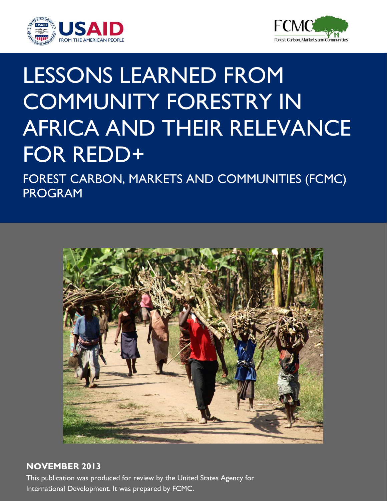



# LESSONS LEARNED FROM COMMUNITY FORESTRY IN AFRICA AND THEIR RELEVANCE FOR REDD+

FOREST CARBON, MARKETS AND COMMUNITIES (FCMC) PROGRAM



## **NOVEMBER 2013**

This publication was produced for review by the United States Agency for International Development. It was prepared by FCMC.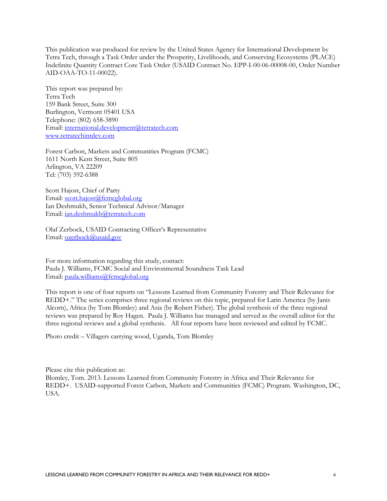This publication was produced for review by the United States Agency for International Development by Tetra Tech, through a Task Order under the Prosperity, Livelihoods, and Conserving Ecosystems (PLACE) Indefinite Quantity Contract Core Task Order (USAID Contract No. EPP-I-00-06-00008-00, Order Number AID-OAA-TO-11-00022).

This report was prepared by: Tetra Tech 159 Bank Street, Suite 300 Burlington, Vermont 05401 USA Telephone: (802) 658-3890 Email: [international.development@tetratech.com](mailto:international.development@tetratech.com) [www.tetratechintdev.com](http://www.tetratechintdev.com/)

Forest Carbon, Markets and Communities Program (FCMC) 1611 North Kent Street, Suite 805 Arlington, VA 22209 Tel: (703) 592-6388

Scott Hajost, Chief of Party Email: [scott.hajost@fcmcglobal.org](mailto:scott.hajost@fcmcglobal.org) Ian Deshmukh, Senior Technical Advisor/Manager Email: [ian.deshmukh@tetratech.com](mailto:ian.deshmukh@tetratech.com)

Olaf Zerbock, USAID Contracting Officer's Representative Email: [ozerbock@usaid.gov](mailto:ozerbock@usaid.gov)

For more information regarding this study, contact: Paula J. Williams, FCMC Social and Environmental Soundness Task Lead Email: [paula.williams@fcmcglobal.org](mailto:paula.williams@fcmcglobal.org)

This report is one of four reports on "Lessons Learned from Community Forestry and Their Relevance for REDD+." The series comprises three regional reviews on this topic, prepared for Latin America (by Janis Alcorn), Africa (by Tom Blomley) and Asia (by Robert Fisher). The global synthesis of the three regional reviews was prepared by Roy Hagen. Paula J. Williams has managed and served as the overall editor for the three regional reviews and a global synthesis. All four reports have been reviewed and edited by FCMC.

Photo credit – Villagers carrying wood, Uganda, Tom Blomley

Please cite this publication as: Blomley, Tom. 2013. Lessons Learned from Community Forestry in Africa and Their Relevance for REDD+. USAID-supported Forest Carbon, Markets and Communities (FCMC) Program. Washington, DC, USA.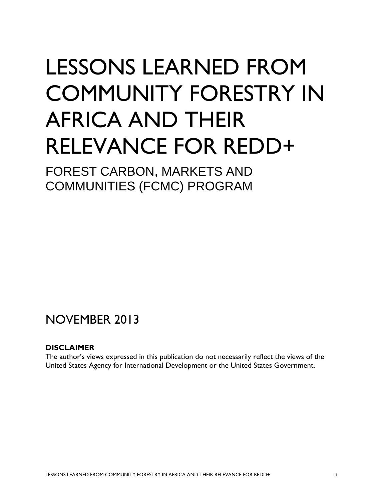# LESSONS LEARNED FROM COMMUNITY FORESTRY IN AFRICA AND THEIR RELEVANCE FOR REDD+

FOREST CARBON, MARKETS AND COMMUNITIES (FCMC) PROGRAM

## NOVEMBER 2013

### **DISCLAIMER**

The author's views expressed in this publication do not necessarily reflect the views of the United States Agency for International Development or the United States Government.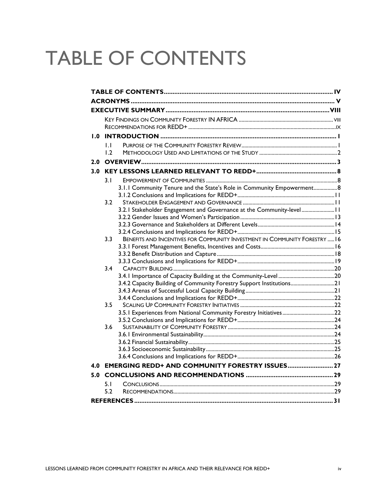## <span id="page-3-0"></span>TABLE OF CONTENTS

| 1.0 |              |                                                                            |  |  |  |  |
|-----|--------------|----------------------------------------------------------------------------|--|--|--|--|
|     | $\mathbf{L}$ |                                                                            |  |  |  |  |
|     | 1.2          |                                                                            |  |  |  |  |
|     |              |                                                                            |  |  |  |  |
|     |              |                                                                            |  |  |  |  |
|     | 3.1          |                                                                            |  |  |  |  |
|     |              | 3.1.1 Community Tenure and the State's Role in Community Empowerment8      |  |  |  |  |
|     |              |                                                                            |  |  |  |  |
|     | 3.2          |                                                                            |  |  |  |  |
|     |              | 3.2.1 Stakeholder Engagement and Governance at the Community-level 11      |  |  |  |  |
|     |              |                                                                            |  |  |  |  |
|     |              |                                                                            |  |  |  |  |
|     |              |                                                                            |  |  |  |  |
|     | 3.3          | BENEFITS AND INCENTIVES FOR COMMUNITY INVESTMENT IN COMMUNITY FORESTRY  16 |  |  |  |  |
|     |              |                                                                            |  |  |  |  |
|     |              |                                                                            |  |  |  |  |
|     |              |                                                                            |  |  |  |  |
|     | 3.4          |                                                                            |  |  |  |  |
|     |              | 3.4.2 Capacity Building of Community Forestry Support Institutions21       |  |  |  |  |
|     |              |                                                                            |  |  |  |  |
|     |              |                                                                            |  |  |  |  |
|     | 3.5          |                                                                            |  |  |  |  |
|     |              |                                                                            |  |  |  |  |
|     |              |                                                                            |  |  |  |  |
|     | 3.6          |                                                                            |  |  |  |  |
|     |              |                                                                            |  |  |  |  |
|     |              |                                                                            |  |  |  |  |
|     |              |                                                                            |  |  |  |  |
|     |              |                                                                            |  |  |  |  |
|     |              | 4.0 EMERGING REDD+ AND COMMUNITY FORESTRY ISSUES 27                        |  |  |  |  |
|     |              |                                                                            |  |  |  |  |
|     | 5.1          |                                                                            |  |  |  |  |
|     | 5.2          |                                                                            |  |  |  |  |
|     |              |                                                                            |  |  |  |  |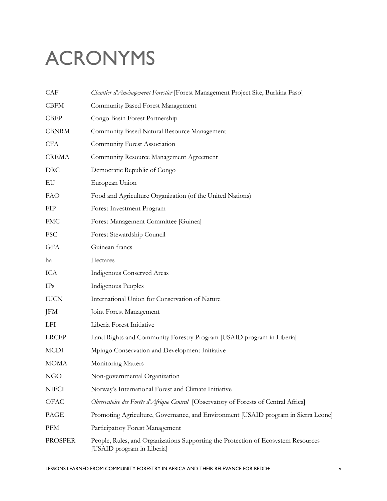## <span id="page-4-0"></span>ACRONYMS

| CAF            | Chantier d'Aménagement Forestier [Forest Management Project Site, Burkina Faso]                                 |
|----------------|-----------------------------------------------------------------------------------------------------------------|
| <b>CBFM</b>    | Community Based Forest Management                                                                               |
| <b>CBFP</b>    | Congo Basin Forest Partnership                                                                                  |
| <b>CBNRM</b>   | Community Based Natural Resource Management                                                                     |
| <b>CFA</b>     | Community Forest Association                                                                                    |
| <b>CREMA</b>   | Community Resource Management Agreement                                                                         |
| <b>DRC</b>     | Democratic Republic of Congo                                                                                    |
| EU             | European Union                                                                                                  |
| <b>FAO</b>     | Food and Agriculture Organization (of the United Nations)                                                       |
| <b>FIP</b>     | Forest Investment Program                                                                                       |
| <b>FMC</b>     | Forest Management Committee [Guinea]                                                                            |
| <b>FSC</b>     | Forest Stewardship Council                                                                                      |
| <b>GFA</b>     | Guinean francs                                                                                                  |
| ha             | Hectares                                                                                                        |
| ICA            | Indigenous Conserved Areas                                                                                      |
| IPs            | Indigenous Peoples                                                                                              |
| <b>IUCN</b>    | International Union for Conservation of Nature                                                                  |
| JFM            | Joint Forest Management                                                                                         |
| LFI            | Liberia Forest Initiative                                                                                       |
| <b>LRCFP</b>   | Land Rights and Community Forestry Program [USAID program in Liberia]                                           |
| <b>MCDI</b>    | Mpingo Conservation and Development Initiative                                                                  |
| <b>MOMA</b>    | Monitoring Matters                                                                                              |
| NGO            | Non-governmental Organization                                                                                   |
| <b>NIFCI</b>   | Norway's International Forest and Climate Initiative                                                            |
| OFAC           | Observatoire des Forêts d'Afrique Central [Observatory of Forests of Central Africa]                            |
| PAGE           | Promoting Agriculture, Governance, and Environment [USAID program in Sierra Leone]                              |
| <b>PFM</b>     | Participatory Forest Management                                                                                 |
| <b>PROSPER</b> | People, Rules, and Organizations Supporting the Protection of Ecosystem Resources<br>[USAID program in Liberia] |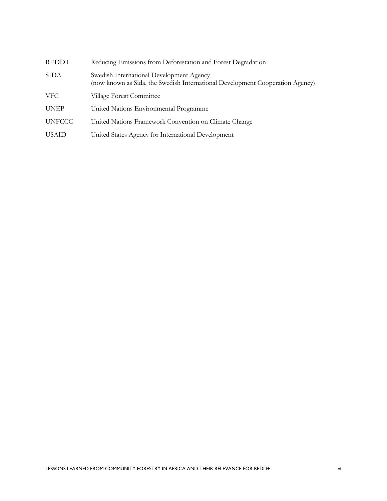| REDD+         | Reducing Emissions from Deforestation and Forest Degradation                                                              |
|---------------|---------------------------------------------------------------------------------------------------------------------------|
| SIDA          | Swedish International Development Agency<br>(now known as Sida, the Swedish International Development Cooperation Agency) |
| <b>VFC</b>    | Village Forest Committee                                                                                                  |
| <b>UNEP</b>   | United Nations Environmental Programme                                                                                    |
| <b>UNFCCC</b> | United Nations Framework Convention on Climate Change                                                                     |
| <b>USAID</b>  | United States Agency for International Development                                                                        |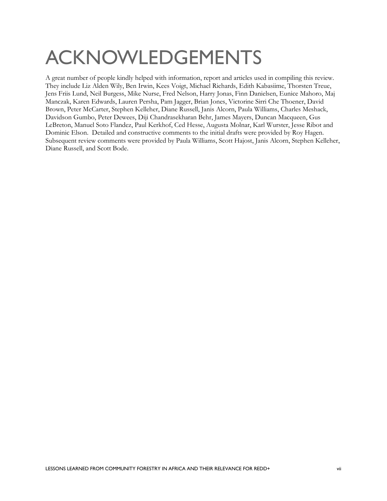## ACKNOWLEDGEMENTS

A great number of people kindly helped with information, report and articles used in compiling this review. They include Liz Alden Wily, Ben Irwin, Kees Voigt, Michael Richards, Edith Kabasiime, Thorsten Treue, Jens Friis Lund, Neil Burgess, Mike Nurse, Fred Nelson, Harry Jonas, Finn Danielsen, Eunice Mahoro, Maj Manczak, Karen Edwards, Lauren Persha, Pam Jagger, Brian Jones, Victorine Sirri Che Thoener, David Brown, Peter McCarter, Stephen Kelleher, Diane Russell, Janis Alcorn, Paula Williams, Charles Meshack, Davidson Gumbo, Peter Dewees, Diji Chandrasekharan Behr, James Mayers, Duncan Macqueen, Gus LeBreton, Manuel Soto Flandez, Paul Kerkhof, Ced Hesse, Augusta Molnar, Karl Wurster, Jesse Ribot and Dominic Elson. Detailed and constructive comments to the initial drafts were provided by Roy Hagen. Subsequent review comments were provided by Paula Williams, Scott Hajost, Janis Alcorn, Stephen Kelleher, Diane Russell, and Scott Bode.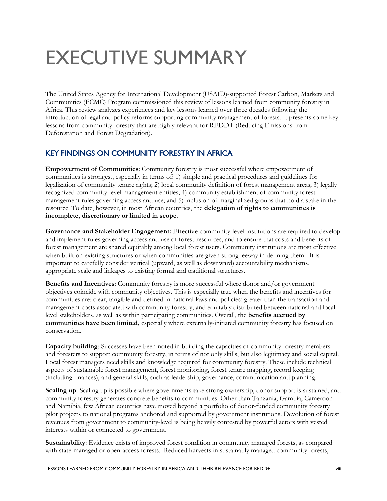## <span id="page-7-0"></span>EXECUTIVE SUMMARY

The United States Agency for International Development (USAID)-supported Forest Carbon, Markets and Communities (FCMC) Program commissioned this review of lessons learned from community forestry in Africa. This review analyzes experiences and key lessons learned over three decades following the introduction of legal and policy reforms supporting community management of forests. It presents some key lessons from community forestry that are highly relevant for REDD+ (Reducing Emissions from Deforestation and Forest Degradation).

### <span id="page-7-1"></span>KEY FINDINGS ON COMMUNITY FORESTRY IN AFRICA

**Empowerment of Communities**: Community forestry is most successful where empowerment of communities is strongest, especially in terms of: 1) simple and practical procedures and guidelines for legalization of community tenure rights; 2) local community definition of forest management areas; 3) legally recognized community-level management entities; 4) community establishment of community forest management rules governing access and use; and 5) inclusion of marginalized groups that hold a stake in the resource. To date, however, in most African countries, the **delegation of rights to communities is incomplete, discretionary or limited in scope**.

**Governance and Stakeholder Engagement:** Effective community-level institutions are required to develop and implement rules governing access and use of forest resources, and to ensure that costs and benefits of forest management are shared equitably among local forest users. Community institutions are most effective when built on existing structures or when communities are given strong leeway in defining them. It is important to carefully consider vertical (upward, as well as downward) accountability mechanisms, appropriate scale and linkages to existing formal and traditional structures.

**Benefits and Incentives**: Community forestry is more successful where donor and/or government objectives coincide with community objectives. This is especially true when the benefits and incentives for communities are: clear, tangible and defined in national laws and policies; greater than the transaction and management costs associated with community forestry; and equitably distributed between national and local level stakeholders, as well as within participating communities. Overall, the **benefits accrued by communities have been limited,** especially where externally-initiated community forestry has focused on conservation.

**Capacity building**: Successes have been noted in building the capacities of community forestry members and foresters to support community forestry, in terms of not only skills, but also legitimacy and social capital. Local forest managers need skills and knowledge required for community forestry. These include technical aspects of sustainable forest management, forest monitoring, forest tenure mapping, record keeping (including finances), and general skills, such as leadership, governance, communication and planning.

**Scaling up**: Scaling up is possible where governments take strong ownership, donor support is sustained, and community forestry generates concrete benefits to communities. Other than Tanzania, Gambia, Cameroon and Namibia, few African countries have moved beyond a portfolio of donor-funded community forestry pilot projects to national programs anchored and supported by government institutions. Devolution of forest revenues from government to community-level is being heavily contested by powerful actors with vested interests within or connected to government.

**Sustainability**: Evidence exists of improved forest condition in community managed forests, as compared with state-managed or open-access forests. Reduced harvests in sustainably managed community forests,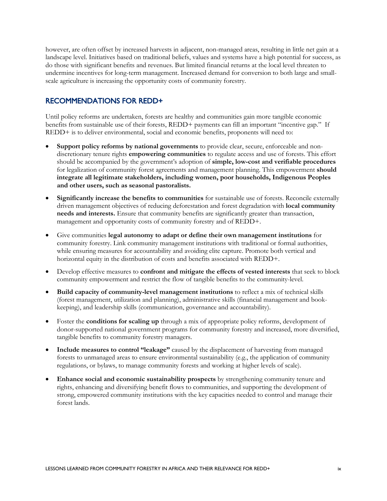however, are often offset by increased harvests in adjacent, non-managed areas, resulting in little net gain at a landscape level. Initiatives based on traditional beliefs, values and systems have a high potential for success, as do those with significant benefits and revenues. But limited financial returns at the local level threaten to undermine incentives for long-term management. Increased demand for conversion to both large and smallscale agriculture is increasing the opportunity costs of community forestry.

### <span id="page-8-0"></span>RECOMMENDATIONS FOR REDD+

Until policy reforms are undertaken, forests are healthy and communities gain more tangible economic benefits from sustainable use of their forests, REDD+ payments can fill an important "incentive gap." If REDD+ is to deliver environmental, social and economic benefits, proponents will need to:

- **Support policy reforms by national governments** to provide clear, secure, enforceable and nondiscretionary tenure rights **empowering communities** to regulate access and use of forests. This effort should be accompanied by the government's adoption of **simple, low-cost and verifiable procedures** for legalization of community forest agreements and management planning. This empowerment **should integrate all legitimate stakeholders, including women, poor households, Indigenous Peoples and other users, such as seasonal pastoralists.**
- **Significantly increase the benefits to communities** for sustainable use of forests. Reconcile externally driven management objectives of reducing deforestation and forest degradation with **local community needs and interests.** Ensure that community benefits are significantly greater than transaction, management and opportunity costs of community forestry and of REDD+.
- Give communities **legal autonomy to adapt or define their own management institutions** for community forestry. Link community management institutions with traditional or formal authorities, while ensuring measures for accountability and avoiding elite capture. Promote both vertical and horizontal equity in the distribution of costs and benefits associated with REDD+.
- Develop effective measures to **confront and mitigate the effects of vested interests** that seek to block community empowerment and restrict the flow of tangible benefits to the community-level.
- **Build capacity of community-level management institutions** to reflect a mix of technical skills (forest management, utilization and planning), administrative skills (financial management and bookkeeping), and leadership skills (communication, governance and accountability).
- Foster the **conditions for scaling up** through a mix of appropriate policy reforms, development of donor-supported national government programs for community forestry and increased, more diversified, tangible benefits to community forestry managers.
- **Include measures to control "leakage"** caused by the displacement of harvesting from managed forests to unmanaged areas to ensure environmental sustainability (e.g., the application of community regulations, or bylaws, to manage community forests and working at higher levels of scale).
- **Enhance social and economic sustainability prospects** by strengthening community tenure and rights, enhancing and diversifying benefit flows to communities, and supporting the development of strong, empowered community institutions with the key capacities needed to control and manage their forest lands.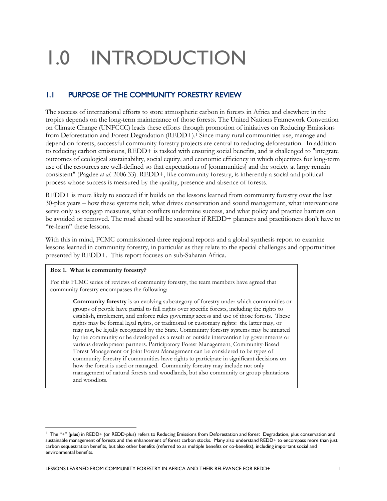## <span id="page-9-0"></span>1.0 INTRODUCTION

## <span id="page-9-1"></span>1.1 PURPOSE OF THE COMMUNITY FORESTRY REVIEW

The success of international efforts to store atmospheric carbon in forests in Africa and elsewhere in the tropics depends on the long-term maintenance of those forests. The United Nations Framework Convention on Climate Change (UNFCCC) leads these efforts through promotion of initiatives on Reducing Emissions from Deforestation and Forest Degradation (REDD+). <sup>1</sup> Since many rural communities use, manage and depend on forests, successful community forestry projects are central to reducing deforestation. In addition to reducing carbon emissions, REDD+ is tasked with ensuring social benefits, and is challenged to "integrate outcomes of ecological sustainability, social equity, and economic efficiency in which objectives for long-term use of the resources are well-defined so that expectations of [communities] and the society at large remain consistent" (Pagdee *et al*. 2006:33). REDD+, like community forestry, is inherently a social and political process whose success is measured by the quality, presence and absence of forests.

REDD+ is more likely to succeed if it builds on the lessons learned from community forestry over the last 30-plus years – how these systems tick, what drives conservation and sound management, what interventions serve only as stopgap measures, what conflicts undermine success, and what policy and practice barriers can be avoided or removed. The road ahead will be smoother if REDD+ planners and practitioners don't have to "re-learn" these lessons.

With this in mind, FCMC commissioned three regional reports and a global synthesis report to examine lessons learned in community forestry, in particular as they relate to the special challenges and opportunities presented by REDD+. This report focuses on sub-Saharan Africa.

#### **Box 1. What is community forestry?**

-

For this FCMC series of reviews of community forestry, the team members have agreed that community forestry encompasses the following:

> **Community forestry** is an evolving subcategory of forestry under which communities or groups of people have partial to full rights over specific forests, including the rights to establish, implement, and enforce rules governing access and use of those forests. These rights may be formal legal rights, or traditional or customary rights: the latter may, or may not, be legally recognized by the State. Community forestry systems may be initiated by the community or be developed as a result of outside intervention by governments or various development partners. Participatory Forest Management, Community-Based Forest Management or Joint Forest Management can be considered to be types of community forestry if communities have rights to participate in significant decisions on how the forest is used or managed. Community forestry may include not only management of natural forests and woodlands, but also community or group plantations and woodlots.

<sup>&</sup>lt;sup>1</sup> The "+" (plus) in REDD+ (or REDD-plus) refers to Reducing Emissions from Deforestation and forest Degradation, plus conservation and sustainable management of forests and the enhancement of forest carbon stocks. Many also understand REDD+ to encompass more than just carbon sequestration benefits, but also other benefits (referred to as multiple benefits or co-benefits), including important social and environmental benefits.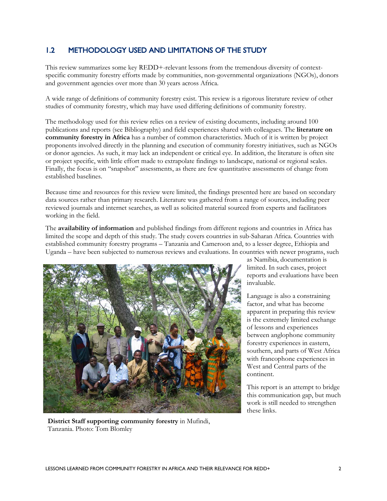### <span id="page-10-0"></span>1.2 METHODOLOGY USED AND LIMITATIONS OF THE STUDY

This review summarizes some key REDD+-relevant lessons from the tremendous diversity of contextspecific community forestry efforts made by communities, non-governmental organizations (NGOs), donors and government agencies over more than 30 years across Africa.

A wide range of definitions of community forestry exist. This review is a rigorous literature review of other studies of community forestry, which may have used differing definitions of community forestry.

The methodology used for this review relies on a review of existing documents, including around 100 publications and reports (see Bibliography) and field experiences shared with colleagues. The **literature on community forestry in Africa** has a number of common characteristics. Much of it is written by project proponents involved directly in the planning and execution of community forestry initiatives, such as NGOs or donor agencies. As such, it may lack an independent or critical eye. In addition, the literature is often site or project specific, with little effort made to extrapolate findings to landscape, national or regional scales. Finally, the focus is on "snapshot" assessments, as there are few quantitative assessments of change from established baselines.

Because time and resources for this review were limited, the findings presented here are based on secondary data sources rather than primary research. Literature was gathered from a range of sources, including peer reviewed journals and internet searches, as well as solicited material sourced from experts and facilitators working in the field.

The **availability of information** and published findings from different regions and countries in Africa has limited the scope and depth of this study. The study covers countries in sub-Saharan Africa. Countries with established community forestry programs – Tanzania and Cameroon and, to a lesser degree, Ethiopia and Uganda – have been subjected to numerous reviews and evaluations. In countries with newer programs, such



**District Staff supporting community forestry** in Mufindi, Tanzania. Photo: Tom Blomley

as Namibia, documentation is limited. In such cases, project reports and evaluations have been invaluable.

Language is also a constraining factor, and what has become apparent in preparing this review is the extremely limited exchange of lessons and experiences between anglophone community forestry experiences in eastern, southern, and parts of West Africa with francophone experiences in West and Central parts of the continent.

This report is an attempt to bridge this communication gap, but much work is still needed to strengthen these links.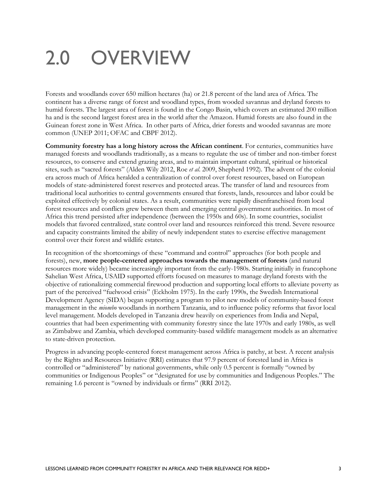## <span id="page-11-0"></span>2.0 OVERVIEW

Forests and woodlands cover 650 million hectares (ha) or 21.8 percent of the land area of Africa. The continent has a diverse range of forest and woodland types, from wooded savannas and dryland forests to humid forests. The largest area of forest is found in the Congo Basin, which covers an estimated 200 million ha and is the second largest forest area in the world after the Amazon. Humid forests are also found in the Guinean forest zone in West Africa. In other parts of Africa, drier forests and wooded savannas are more common (UNEP 2011; OFAC and CBPF 2012).

**Community forestry has a long history across the African continent**. For centuries, communities have managed forests and woodlands traditionally, as a means to regulate the use of timber and non-timber forest resources, to conserve and extend grazing areas, and to maintain important cultural, spiritual or historical sites, such as "sacred forests" (Alden Wily 2012, Roe *et al*. 2009, Shepherd 1992). The advent of the colonial era across much of Africa heralded a centralization of control over forest resources, based on European models of state-administered forest reserves and protected areas. The transfer of land and resources from traditional local authorities to central governments ensured that forests, lands, resources and labor could be exploited effectively by colonial states. As a result, communities were rapidly disenfranchised from local forest resources and conflicts grew between them and emerging central government authorities. In most of Africa this trend persisted after independence (between the 1950s and 60s). In some countries, socialist models that favored centralized, state control over land and resources reinforced this trend. Severe resource and capacity constraints limited the ability of newly independent states to exercise effective management control over their forest and wildlife estates.

In recognition of the shortcomings of these "command and control" approaches (for both people and forests), new, **more people-centered approaches towards the management of forests** (and natural resources more widely) became increasingly important from the early-1980s. Starting initially in francophone Sahelian West Africa, USAID supported efforts focused on measures to manage dryland forests with the objective of rationalizing commercial firewood production and supporting local efforts to alleviate poverty as part of the perceived "fuelwood crisis" (Eckholm 1975). In the early 1990s, the Swedish International Development Agency (SIDA) began supporting a program to pilot new models of community-based forest management in the *miombo* woodlands in northern Tanzania, and to influence policy reforms that favor local level management. Models developed in Tanzania drew heavily on experiences from India and Nepal, countries that had been experimenting with community forestry since the late 1970s and early 1980s, as well as Zimbabwe and Zambia, which developed community-based wildlife management models as an alternative to state-driven protection.

Progress in advancing people-centered forest management across Africa is patchy, at best. A recent analysis by the Rights and Resources Initiative (RRI) estimates that 97.9 percent of forested land in Africa is controlled or "administered" by national governments, while only 0.5 percent is formally "owned by communities or Indigenous Peoples" or "designated for use by communities and Indigenous Peoples." The remaining 1.6 percent is "owned by individuals or firms" (RRI 2012).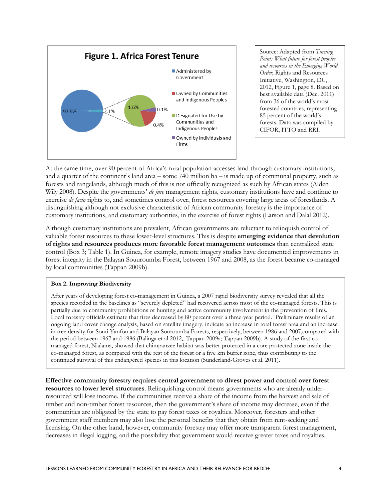

Source: Adapted from *Turning Point: What future for forest peoples and resources in the Emerging World Order*, Rights and Resources Initiative, Washington, DC, 2012, Figure 1, page 8. Based on best available data (Dec. 2011) from 36 of the world's most forested countries, representing 85 percent of the world's forests. Data was compiled by CIFOR, ITTO and RRI.

At the same time, over 90 percent of Africa's rural population accesses land through customary institutions, and a quarter of the continent's land area – some 740 million ha – is made up of communal property, such as forests and rangelands, although much of this is not officially recognized as such by African states (Alden Wily 2008). Despite the governments' *de jure* management rights, customary institutions have and continue to exercise *de facto* rights to, and sometimes control over, forest resources covering large areas of forestlands. A distinguishing although not exclusive characteristic of African community forestry is the importance of customary institutions, and customary authorities, in the exercise of forest rights (Larson and Dalal 2012).

Although customary institutions are prevalent, African governments are reluctant to relinquish control of valuable forest resources to these lower-level structures. This is despite **emerging evidence that devolution of rights and resources produces more favorable forest management outcomes** than centralized state control (Box 3; Table 1). In Guinea, for example, remote imagery studies have documented improvements in forest integrity in the Balayan Souuroumba Forest, between 1967 and 2008, as the forest became co-managed by local communities (Tappan 2009b).

#### **Box 2. Improving Biodiversity**

After years of developing forest co-management in Guinea, a 2007 rapid biodiversity survey revealed that all the species recorded in the baselines as "severely depleted" had recovered across most of the co-managed forests. This is partially due to community prohibitions of hunting and active community involvement in the prevention of fires. Local forestry officials estimate that fires decreased by 80 percent over a three-year period. Preliminary results of an ongoing land cover change analysis, based on satellite imagery, indicate an increase in total forest area and an increase in tree density for Souti Yanfou and Balayan Souroumba Forests, respectively, between 1986 and 2007,compared with the period between 1967 and 1986 (Balinga et al 2012,. Tappan 2009a; Tappan 2009b). A study of the first comanaged forest, Nialama, showed that chimpanzee habitat was better protected in a core protected zone inside the co-managed forest, as compared with the rest of the forest or a five km buffer zone, thus contributing to the continued survival of this endangered species in this location (Sunderland-Groves et al. 2011).

**Effective community forestry requires central government to divest power and control over forest resources to lower level structures**. Relinquishing control means governments who are already underresourced will lose income. If the communities receive a share of the income from the harvest and sale of timber and non-timber forest resources, then the government's share of income may decrease, even if the communities are obligated by the state to pay forest taxes or royalties. Moreover, foresters and other government staff members may also lose the personal benefits that they obtain from rent-seeking and licensing. On the other hand, however, community forestry may offer more transparent forest management, decreases in illegal logging, and the possibility that government would receive greater taxes and royalties.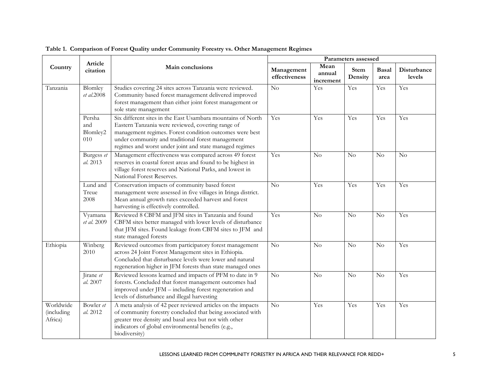|                                            |                                  |                                                                                                                                                                                                                                                                                             | Parameters assessed         |                             |                        |               |                              |
|--------------------------------------------|----------------------------------|---------------------------------------------------------------------------------------------------------------------------------------------------------------------------------------------------------------------------------------------------------------------------------------------|-----------------------------|-----------------------------|------------------------|---------------|------------------------------|
| Country                                    | Article<br>citation              | Main conclusions                                                                                                                                                                                                                                                                            | Management<br>effectiveness | Mean<br>annual<br>increment | <b>Stem</b><br>Density | Basal<br>area | <b>Disturbance</b><br>levels |
| Tanzania                                   | Blomley<br>et al.2008            | Studies covering 24 sites across Tanzania were reviewed.<br>Community based forest management delivered improved<br>forest management than either joint forest management or<br>sole state management                                                                                       | $\overline{N}$              | $\overline{Y}$ es           | Yes                    | Yes           | Yes                          |
|                                            | Persha<br>and<br>Blomley2<br>010 | Six different sites in the East Usambara mountains of North<br>Eastern Tanzania were reviewed, covering range of<br>management regimes. Forest condition outcomes were best<br>under community and traditional forest management<br>regimes and worst under joint and state managed regimes | Yes                         | Yes                         | Yes                    | Yes           | Yes                          |
|                                            | Burgess et<br>al. 2013           | Management effectiveness was compared across 49 forest<br>reserves in coastal forest areas and found to be highest in<br>village forest reserves and National Parks, and lowest in<br>National Forest Reserves.                                                                             | Yes                         | $\overline{N}$              | No                     | No            | N <sub>o</sub>               |
|                                            | Lund and<br>Treue<br>2008        | Conservation impacts of community based forest<br>management were assessed in five villages in Iringa district.<br>Mean annual growth rates exceeded harvest and forest<br>harvesting is effectively controlled.                                                                            | N <sub>o</sub>              | Yes                         | Yes                    | Yes           | Yes                          |
|                                            | Vyamana<br>et al. 2009           | Reviewed 8 CBFM and JFM sites in Tanzania and found<br>CBFM sites better managed with lower levels of disturbance<br>that JFM sites. Found leakage from CBFM sites to JFM and<br>state managed forests                                                                                      | Yes                         | $\rm No$                    | No                     | $\rm No$      | Yes                          |
| Ethiopia                                   | Winberg<br>2010                  | Reviewed outcomes from participatory forest management<br>across 24 Joint Forest Management sites in Ethiopia.<br>Concluded that disturbance levels were lower and natural<br>regeneration higher in JFM forests than state managed ones                                                    | N <sub>o</sub>              | No                          | No                     | No            | Yes                          |
|                                            | Jirane et<br>al. 2007            | Reviewed lessons learned and impacts of PFM to date in 9<br>forests. Concluded that forest management outcomes had<br>improved under JFM - including forest regeneration and<br>levels of disturbance and illegal harvesting                                                                | N <sub>o</sub>              | No                          | No                     | No            | Yes                          |
| Worldwide<br><i>(including)</i><br>Africa) | Bowler et<br>al. 2012            | A meta analysis of 42 peer reviewed articles on the impacts<br>of community forestry concluded that being associated with<br>greater tree density and basal area but not with other<br>indicators of global environmental benefits (e.g.,<br>biodiversity)                                  | N <sub>o</sub>              | Yes                         | Yes                    | Yes           | Yes                          |

#### **Table 1. Comparison of Forest Quality under Community Forestry vs. Other Management Regimes**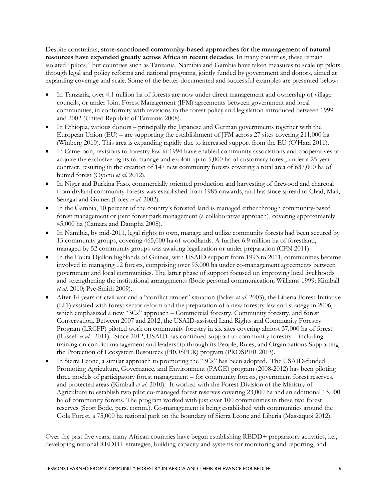Despite constraints, **state-sanctioned community-based approaches for the management of natural resources have expanded greatly across Africa in recent decades**. In many countries, these remain isolated "pilots," but countries such as Tanzania, Namibia and Gambia have taken measures to scale up pilots through legal and policy reforms and national programs, jointly funded by government and donors, aimed at expanding coverage and scale. Some of the better-documented and successful examples are presented below:

- In Tanzania, over 4.1 million ha of forests are now under direct management and ownership of village councils, or under Joint Forest Management (JFM) agreements between government and local communities, in conformity with revisions to the forest policy and legislation introduced between 1999 and 2002 (United Republic of Tanzania 2008).
- In Ethiopia, various donors principally the Japanese and German governments together with the European Union (EU) – are supporting the establishment of JFM across 27 sites covering 211,000 ha (Winberg 2010). This area is expanding rapidly due to increased support from the EU (O'Hara 2011).
- In Cameroon, revisions to forestry law in 1994 have enabled community associations and cooperatives to acquire the exclusive rights to manage and exploit up to 5,000 ha of customary forest, under a 25-year contract, resulting in the creation of 147 new community forests covering a total area of 637,000 ha of humid forest (Oyono *et al*. 2012).
- In Niger and Burkina Faso, commercially oriented production and harvesting of firewood and charcoal from dryland community forests was established from 1985 onwards, and has since spread to Chad, Mali, Senegal and Guinea (Foley *et al*. 2002).
- In the Gambia, 10 percent of the country's forested land is managed either through community-based forest management or joint forest park management (a collaborative approach), covering approximately 45,000 ha (Camara and Dampha 2008).
- In Namibia, by mid-2011, legal rights to own, manage and utilize community forests had been secured by 13 community groups, covering 465,000 ha of woodlands. A further 6.9 million ha of forestland, managed by 52 community groups was awaiting legalization or under preparation (CFN 2011).
- In the Fouta Djallon highlands of Guinea, with USAID support from 1993 to 2011, communities became involved in managing 12 forests, comprising over 93,000 ha under co-management agreements between government and local communities. The latter phase of support focused on improving local livelihoods and strengthening the institutional arrangements (Bode personal communication; Williams 1999; Kimball *et al*. 2010; Pye-Smith 2009).
- After 14 years of civil war and a "conflict timber" situation (Baker *et al*. 2003), the Liberia Forest Initiative (LFI) assisted with forest sector reform and the preparation of a new forestry law and strategy in 2006, which emphasized a new "3Cs" approach – Commercial forestry, Community forestry, and forest Conservation. Between 2007 and 2012, the USAID-assisted Land Rights and Community Forestry Program (LRCFP) piloted work on community forestry in six sites covering almost 37,000 ha of forest (Russell *et al*. 2011). Since 2012, USAID has continued support to community forestry – including training on conflict management and leadership through its People, Rules, and Organizations Supporting the Protection of Ecosystem Resources (PROSPER) program (PROSPER 2013).
- In Sierra Leone, a similar approach to promoting the "3Cs" has been adopted. The USAID-funded Promoting Agriculture, Governance, and Environment (PAGE) program (2008-2012) has been piloting three models of participatory forest management – for community forests, government forest reserves, and protected areas (Kimball *et al*. 2010). It worked with the Forest Division of the Ministry of Agriculture to establish two pilot co-managed forest reserves covering 23,000 ha and an additional 13,000 ha of community forests. The program worked with just over 100 communities in these two forest reserves (Scott Bode, pers. comm.). Co-management is being established with communities around the Gola Forest, a 75,000 ha national park on the boundary of Sierra Leone and Liberia (Massaquoi 2012).

Over the past five years, many African countries have begun establishing REDD+ preparatory activities, i.e., developing national REDD+ strategies, building capacity and systems for monitoring and reporting, and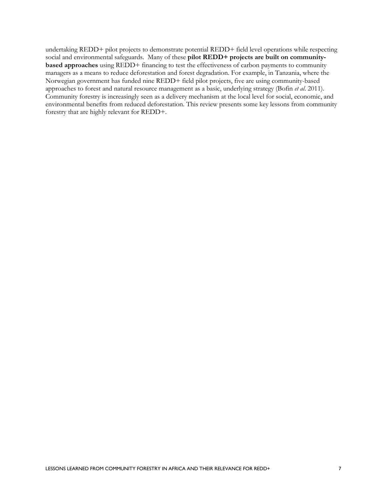undertaking REDD+ pilot projects to demonstrate potential REDD+ field level operations while respecting social and environmental safeguards. Many of these **pilot REDD+ projects are built on communitybased approaches** using REDD+ financing to test the effectiveness of carbon payments to community managers as a means to reduce deforestation and forest degradation. For example, in Tanzania, where the Norwegian government has funded nine REDD+ field pilot projects, five are using community-based approaches to forest and natural resource management as a basic, underlying strategy (Bofin *et al*. 2011). Community forestry is increasingly seen as a delivery mechanism at the local level for social, economic, and environmental benefits from reduced deforestation. This review presents some key lessons from community forestry that are highly relevant for REDD+.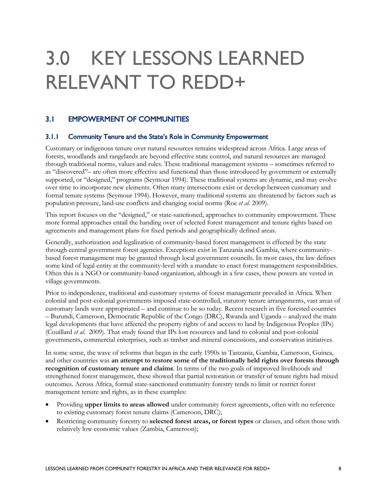## <span id="page-16-0"></span>3.0 KEY LESSONS LEARNED RELEVANT TO REDD+

### <span id="page-16-1"></span>3.1 EMPOWERMENT OF COMMUNITIES

#### <span id="page-16-2"></span>3.1.1 Community Tenure and the State's Role in Community Empowerment

Customary or indigenous tenure over natural resources remains widespread across Africa. Large areas of forests, woodlands and rangelands are beyond effective state control, and natural resources are managed through traditional norms, values and rules. These traditional management systems – sometimes referred to as "discovered"– are often more effective and functional than those introduced by government or externally supported, or "designed," programs (Seymour 1994). These traditional systems are dynamic, and may evolve over time to incorporate new elements. Often many intersections exist or develop between customary and formal tenure systems (Seymour 1994). However, many traditional systems are threatened by factors such as population pressure, land-use conflicts and changing social norms (Roe *et al.* 2009).

This report focuses on the "designed," or state-sanctioned, approaches to community empowerment. These more formal approaches entail the handing over of selected forest management and tenure rights based on agreements and management plans for fixed periods and geographically defined areas.

Generally, authorization and legalization of community-based forest management is effected by the state through central government forest agencies. Exceptions exist in Tanzania and Gambia, where communitybased forest management may be granted through local government councils. In most cases, the law defines some kind of legal entity at the community-level with a mandate to enact forest management responsibilities. Often this is a NGO or community-based organization, although in a few cases, these powers are vested in village governments.

Prior to independence, traditional and customary systems of forest management prevailed in Africa. When colonial and post-colonial governments imposed state-controlled, statutory tenure arrangements, vast areas of customary lands were appropriated – and continue to be so today. Recent research in five forested countries – Burundi, Cameroon, Democratic Republic of the Congo (DRC), Rwanda and Uganda – analyzed the main legal developments that have affected the property rights of and access to land by Indigenous Peoples (IPs) (Couillard *et al*. 2009). That study found that IPs lost resources and land to colonial and post-colonial governments, commercial enterprises, such as timber and mineral concessions, and conservation initiatives.

In some sense, the wave of reforms that began in the early 1990s in Tanzania, Gambia, Cameroon, Guinea, and other countries was **an attempt to restore some of the traditionally held rights over forests through recognition of customary tenure and claims**. In terms of the two goals of improved livelihoods and strengthened forest management, these showed that partial restoration or transfer of tenure rights had mixed outcomes. Across Africa, formal state-sanctioned community forestry tends to limit or restrict forest management tenure and rights, as in these examples:

- Providing **upper limits to areas allowed** under community forest agreements, often with no reference to existing customary forest tenure claims (Cameroon, DRC);
- Restricting community forestry to **selected forest areas, or forest types** or classes, and often those with relatively low economic values (Zambia, Cameroon);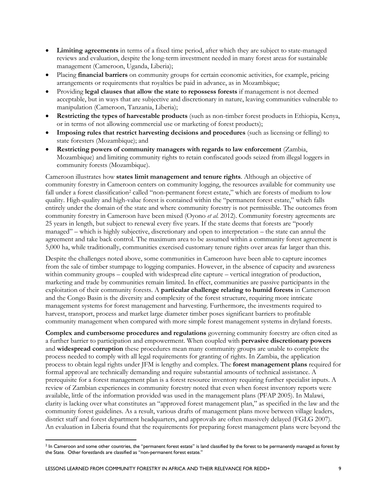- **Limiting agreements** in terms of a fixed time period, after which they are subject to state-managed reviews and evaluation, despite the long-term investment needed in many forest areas for sustainable management (Cameroon, Uganda, Liberia);
- Placing **financial barriers** on community groups for certain economic activities, for example, pricing arrangements or requirements that royalties be paid in advance, as in Mozambique;
- Providing **legal clauses that allow the state to repossess forests** if management is not deemed acceptable, but in ways that are subjective and discretionary in nature, leaving communities vulnerable to manipulation (Cameroon, Tanzania, Liberia);
- **Restricting the types of harvestable products** (such as non-timber forest products in Ethiopia, Kenya, or in terms of not allowing commercial use or marketing of forest products);
- **Imposing rules that restrict harvesting decisions and procedures** (such as licensing or felling) to state foresters (Mozambique); and
- **Restricting powers of community managers with regards to law enforcement** (Zambia, Mozambique) and limiting community rights to retain confiscated goods seized from illegal loggers in community forests (Mozambique).

Cameroon illustrates how **states limit management and tenure rights**. Although an objective of community forestry in Cameroon centers on community logging, the resources available for community use fall under a forest classification<sup>2</sup> called "non-permanent forest estate," which are forests of medium to low quality. High-quality and high-value forest is contained within the "permanent forest estate," which falls entirely under the domain of the state and where community forestry is not permissible. The outcomes from community forestry in Cameroon have been mixed (Oyono *et al.* 2012). Community forestry agreements are 25 years in length, but subject to renewal every five years. If the state deems that forests are "poorly managed" – which is highly subjective, discretionary and open to interpretation – the state can annul the agreement and take back control. The maximum area to be assumed within a community forest agreement is 5,000 ha, while traditionally, communities exercised customary tenure rights over areas far larger than this.

Despite the challenges noted above, some communities in Cameroon have been able to capture incomes from the sale of timber stumpage to logging companies. However, in the absence of capacity and awareness within community groups – coupled with widespread elite capture – vertical integration of production, marketing and trade by communities remain limited. In effect, communities are passive participants in the exploitation of their community forests. A **particular challenge relating to humid forests** in Cameroon and the Congo Basin is the diversity and complexity of the forest structure, requiring more intricate management systems for forest management and harvesting. Furthermore, the investments required to harvest, transport, process and market large diameter timber poses significant barriers to profitable community management when compared with more simple forest management systems in dryland forests.

**Complex and cumbersome procedures and regulations** governing community forestry are often cited as a further barrier to participation and empowerment. When coupled with **pervasive discretionary powers** and **widespread corruption** these procedures mean many community groups are unable to complete the process needed to comply with all legal requirements for granting of rights. In Zambia, the application process to obtain legal rights under JFM is lengthy and complex. The **forest management plans** required for formal approval are technically demanding and require substantial amounts of technical assistance. A prerequisite for a forest management plan is a forest resource inventory requiring further specialist inputs. A review of Zambian experiences in community forestry noted that even when forest inventory reports were available, little of the information provided was used in the management plans (PFAP 2005). In Malawi, clarity is lacking over what constitutes an "approved forest management plan," as specified in the law and the community forest guidelines. As a result, various drafts of management plans move between village leaders, district staff and forest department headquarters, and approvals are often massively delayed (FGLG 2007). An evaluation in Liberia found that the requirements for preparing forest management plans were beyond the

-

 $2$  In Cameroon and some other countries, the "permanent forest estate" is land classified by the forest to be permanently managed as forest by the State. Other forestlands are classified as "non-permanent forest estate."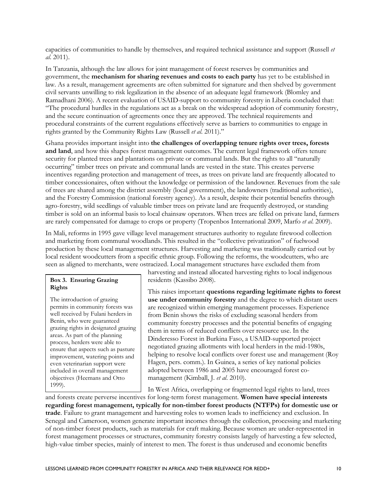capacities of communities to handle by themselves, and required technical assistance and support (Russell *et al*. 2011).

In Tanzania, although the law allows for joint management of forest reserves by communities and government, the **mechanism for sharing revenues and costs to each party** has yet to be established in law. As a result, management agreements are often submitted for signature and then shelved by government civil servants unwilling to risk legalization in the absence of an adequate legal framework (Blomley and Ramadhani 2006). A recent evaluation of USAID-support to community forestry in Liberia concluded that: "The procedural hurdles in the regulations act as a break on the widespread adoption of community forestry, and the secure continuation of agreements once they are approved. The technical requirements and procedural constraints of the current regulations effectively serve as barriers to communities to engage in rights granted by the Community Rights Law (Russell *et al*. 2011)."

Ghana provides important insight into **the challenges of overlapping tenure rights over trees, forests and land**, and how this shapes forest management outcomes. The current legal framework offers tenure security for planted trees and plantations on private or communal lands. But the rights to all "naturally occurring" timber trees on private and communal lands are vested in the state. This creates perverse incentives regarding protection and management of trees, as trees on private land are frequently allocated to timber concessionaires, often without the knowledge or permission of the landowner. Revenues from the sale of trees are shared among the district assembly (local government), the landowners (traditional authorities), and the Forestry Commission (national forestry agency). As a result, despite their potential benefits through agro-forestry, wild seedlings of valuable timber trees on private land are frequently destroyed, or standing timber is sold on an informal basis to local chainsaw operators. When trees are felled on private land, farmers are rarely compensated for damage to crops or property (Tropenbos International 2009, Marfo *et al*. 2009).

In Mali, reforms in 1995 gave village level management structures authority to regulate firewood collection and marketing from communal woodlands. This resulted in the "collective privatization" of fuelwood production by these local management structures. Harvesting and marketing was traditionally carried out by local resident woodcutters from a specific ethnic group. Following the reforms, the woodcutters, who are seen as aligned to merchants, were ostracized. Local management structures have excluded them from

#### **Box 3. Ensuring Grazing Rights**

The introduction of grazing permits in community forests was well received by Fulani herders in Benin, who were guaranteed grazing rights in designated grazing areas. As part of the planning process, herders were able to ensure that aspects such as pasture improvement, watering points and even veterinarian support were included in overall management objectives (Heemans and Otto 1999).

harvesting and instead allocated harvesting rights to local indigenous residents (Kassibo 2008).

This raises important **questions regarding legitimate rights to forest use under community forestry** and the degree to which distant users are recognized within emerging management processes. Experience from Benin shows the risks of excluding seasonal herders from community forestry processes and the potential benefits of engaging them in terms of reduced conflicts over resource use. In the Dinderesso Forest in Burkina Faso, a USAID-supported project negotiated grazing allotments with local herders in the mid-1980s, helping to resolve local conflicts over forest use and management (Roy Hagen, pers. comm.). In Guinea, a series of key national policies adopted between 1986 and 2005 have encouraged forest comanagement (Kimball, J. *et al*. 2010).

In West Africa, overlapping or fragmented legal rights to land, trees

and forests create perverse incentives for long-term forest management. **Women have special interests regarding forest management, typically for non-timber forest products (NTFPs) for domestic use or trade**. Failure to grant management and harvesting roles to women leads to inefficiency and exclusion. In Senegal and Cameroon, women generate important incomes through the collection, processing and marketing of non-timber forest products, such as materials for craft making. Because women are under-represented in forest management processes or structures, community forestry consists largely of harvesting a few selected, high-value timber species, mainly of interest to men. The forest is thus underused and economic benefits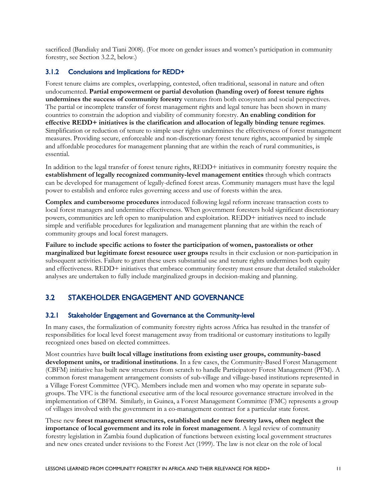sacrificed (Bandiaky and Tiani 2008). (For more on gender issues and women's participation in community forestry, see Section 3.2.2, below.)

#### <span id="page-19-0"></span>3.1.2 Conclusions and Implications for REDD+

Forest tenure claims are complex, overlapping, contested, often traditional, seasonal in nature and often undocumented. **Partial empowerment or partial devolution (handing over) of forest tenure rights undermines the success of community forestry** ventures from both ecosystem and social perspectives. The partial or incomplete transfer of forest management rights and legal tenure has been shown in many countries to constrain the adoption and viability of community forestry. **An enabling condition for effective REDD+ initiatives is the clarification and allocation of legally binding tenure regimes**. Simplification or reduction of tenure to simple user rights undermines the effectiveness of forest management measures. Providing secure, enforceable and non-discretionary forest tenure rights, accompanied by simple and affordable procedures for management planning that are within the reach of rural communities, is essential.

In addition to the legal transfer of forest tenure rights, REDD+ initiatives in community forestry require the **establishment of legally recognized community-level management entities** through which contracts can be developed for management of legally-defined forest areas. Community managers must have the legal power to establish and enforce rules governing access and use of forests within the area.

**Complex and cumbersome procedures** introduced following legal reform increase transaction costs to local forest managers and undermine effectiveness. When government foresters hold significant discretionary powers, communities are left open to manipulation and exploitation. REDD+ initiatives need to include simple and verifiable procedures for legalization and management planning that are within the reach of community groups and local forest managers.

**Failure to include specific actions to foster the participation of women, pastoralists or other marginalized but legitimate forest resource user groups** results in their exclusion or non-participation in subsequent activities. Failure to grant these users substantial use and tenure rights undermines both equity and effectiveness. REDD+ initiatives that embrace community forestry must ensure that detailed stakeholder analyses are undertaken to fully include marginalized groups in decision-making and planning.

### <span id="page-19-1"></span>3.2 STAKEHOLDER ENGAGEMENT AND GOVERNANCE

#### <span id="page-19-2"></span>3.2.1 Stakeholder Engagement and Governance at the Community-level

In many cases, the formalization of community forestry rights across Africa has resulted in the transfer of responsibilities for local level forest management away from traditional or customary institutions to legally recognized ones based on elected committees.

Most countries have **built local village institutions from existing user groups, community-based development units, or traditional institutions**. In a few cases, the Community-Based Forest Management (CBFM) initiative has built new structures from scratch to handle Participatory Forest Management (PFM). A common forest management arrangement consists of sub-village and village-based institutions represented in a Village Forest Committee (VFC). Members include men and women who may operate in separate subgroups. The VFC is the functional executive arm of the local resource governance structure involved in the implementation of CBFM. Similarly, in Guinea, a Forest Management Committee (FMC) represents a group of villages involved with the government in a co-management contract for a particular state forest.

These new **forest management structures, established under new forestry laws, often neglect the importance of local government and its role in forest management**. A legal review of community forestry legislation in Zambia found duplication of functions between existing local government structures and new ones created under revisions to the Forest Act (1999). The law is not clear on the role of local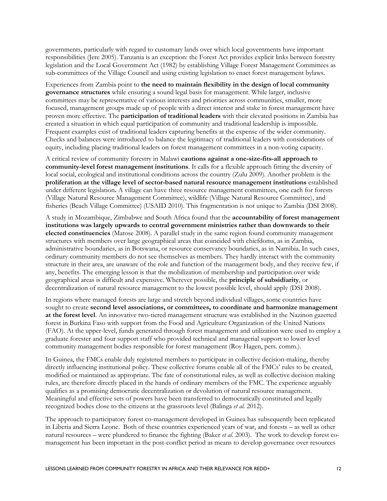governments, particularly with regard to customary lands over which local governments have important responsibilities (Jere 2005). Tanzania is an exception: the Forest Act provides explicit links between forestry legislation and the Local Government Act (1982) by establishing Village Forest Management Committees as sub-committees of the Village Council and using existing legislation to enact forest management bylaws.

Experiences from Zambia point to **the need to maintain flexibility in the design of local community governance structures** while ensuring a sound legal basis for management. While larger, inclusive committees may be representative of various interests and priorities across communities, smaller, more focused, management groups made up of people with a direct interest and stake in forest management have proven more effective. The **participation of traditional leaders** with their elevated positions in Zambia has created a situation in which equal participation of community and traditional leadership is impossible. Frequent examples exist of traditional leaders capturing benefits at the expense of the wider community. Checks and balances were introduced to balance the legitimacy of traditional leaders with considerations of equity, including placing traditional leaders on forest management committees in a non-voting capacity.

A critical review of community forestry in Malawi **cautions against a one-size-fits-all approach to community-level forest management institutions**. It calls for a flexible approach fitting the diversity of local social, ecological and institutional conditions across the country (Zulu 2009). Another problem is the **proliferation at the village level of sector-based natural resource management institutions** established under different legislation**.** A village can have three resource management committees, one each for forests (Village Natural Resource Management Committee), wildlife (Village Natural Resource Committee), and fisheries (Beach Village Committee) (USAID 2010). This fragmentation is not unique to Zambia (DSI 2008).

A study in Mozambique, Zimbabwe and South Africa found that the **accountability of forest management institutions was largely upwards to central government ministries rather than downwards to their elected constituencies** (Matose 2008). A parallel study in the same region found community management structures with members over large geographical areas that coincided with chiefdoms, as in Zambia, administrative boundaries, as in Botswana, or resource conservancy boundaries, as in Namibia. In such cases, ordinary community members do not see themselves as members. They hardly interact with the community structure in their area, are unaware of the role and function of the management body, and they receive few, if any, benefits. The emerging lesson is that the mobilization of membership and participation over wide geographical areas is difficult and expensive. Wherever possible, the **principle of subsidiarity**, or decentralization of natural resource management to the lowest possible level, should apply (DSI 2008).

In regions where managed forests are large and stretch beyond individual villages, some countries have sought to create **second level associations, or committees, to coordinate and harmonize management at the forest level**. An innovative two-tiered management structure was established in the Nazinon gazetted forest in Burkina Faso with support from the Food and Agriculture Organization of the United Nations (FAO). At the upper-level, funds generated through forest management and utilization were used to employ a graduate forester and four support staff who provided technical and managerial support to lower level community management bodies responsible for forest management (Roy Hagen, pers. comm.).

In Guinea, the FMCs enable duly registered members to participate in collective decision-making, thereby directly influencing institutional policy. These collective forums enable all of the FMCs' rules to be created, modified or maintained as appropriate. The fate of constitutional rules, as well as collective decision making rules, are therefore directly placed in the hands of ordinary members of the FMC. The experience arguably qualifies as a promising democratic decentralization or devolution of natural resource management. Meaningful and effective sets of powers have been transferred to democratically constituted and legally recognized bodies close to the citizens at the grassroots level (Balinga *et al*. 2012).

The approach to participatory forest co-management developed in Guinea has subsequently been replicated in Liberia and Sierra Leone. Both of these countries experienced years of war, and forests – as well as other natural resources – were plundered to finance the fighting (Baker *et al*. 2003). The work to develop forest comanagement has been important in the post-conflict period as means to develop governance over resources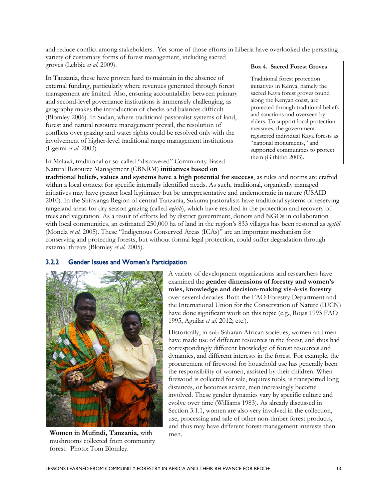and reduce conflict among stakeholders. Yet some of those efforts in Liberia have overlooked the persisting variety of customary forms of forest management, including sacred

groves (Lebbie *et al*. 2009).

In Tanzania, these have proven hard to maintain in the absence of external funding, particularly where revenues generated through forest management are limited. Also, ensuring accountability between primary and second-level governance institutions is immensely challenging, as geography makes the introduction of checks and balances difficult (Blomley 2006). In Sudan, where traditional pastoralist systems of land, forest and natural resource management prevail, the resolution of conflicts over grazing and water rights could be resolved only with the involvement of higher-level traditional range management institutions (Egeimi *et al.* 2003).

In Malawi, traditional or so-called "discovered" Community-Based Natural Resource Management (CBNRM) **initiatives based on** 

#### **Box 4. Sacred Forest Groves**

Traditional forest protection initiatives in Kenya, namely the sacred Kaya forest groves found along the Kenyan coast, are protected through traditional beliefs and sanctions and overseen by elders. To support local protection measures, the government registered individual Kaya forests as "national monuments," and supported communities to protect them (Githitho 2003).

**traditional beliefs, values and systems have a high potential for success**, as rules and norms are crafted within a local context for specific internally identified needs. As such, traditional, organically managed initiatives may have greater local legitimacy but be unrepresentative and undemocratic in nature (USAID 2010). In the Shinyanga Region of central Tanzania, Sukuma pastoralists have traditional systems of reserving rangeland areas for dry season grazing (called *ngitili*), which have resulted in the protection and recovery of trees and vegetation. As a result of efforts led by district government, donors and NGOs in collaboration with local communities, an estimated 250,000 ha of land in the region's 833 villages has been restored as *ngitili* (Monela *et al.* 2005). These "Indigenous Conserved Areas (ICAs)" are an important mechanism for conserving and protecting forests, but without formal legal protection, could suffer degradation through external threats (Blomley *et al.* 2005).

### <span id="page-21-0"></span>3.2.2 Gender Issues and Women's Participation



**Women in Mufindi, Tanzania,** with mushrooms collected from community forest. Photo: Tom Blomley.

A variety of development organizations and researchers have examined the **gender dimensions of forestry and women's roles, knowledge and decision-making vis-à-vis forestry** over several decades. Both the FAO Forestry Department and the International Union for the Conservation of Nature (IUCN) have done significant work on this topic (e.g., Rojas 1993 FAO 1995, Aguilar *et al*. 2012; etc.).

Historically, in sub-Saharan African societies, women and men have made use of different resources in the forest, and thus had correspondingly different knowledge of forest resources and dynamics, and different interests in the forest. For example, the procurement of firewood for household use has generally been the responsibility of women, assisted by their children. When firewood is collected for sale, requires tools, is transported long distances, or becomes scarce, men increasingly become involved. These gender dynamics vary by specific culture and evolve over time (Williams 1983). As already discussed in Section 3.1.1, women are also very involved in the collection, use, processing and sale of other non-timber forest products, and thus may have different forest management interests than men.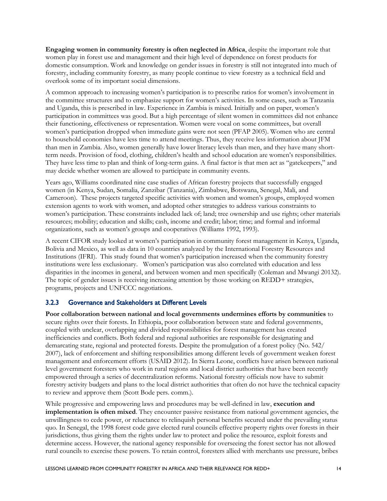**Engaging women in community forestry is often neglected in Africa**, despite the important role that women play in forest use and management and their high level of dependence on forest products for domestic consumption. Work and knowledge on gender issues in forestry is still not integrated into much of forestry, including community forestry, as many people continue to view forestry as a technical field and overlook some of its important social dimensions.

A common approach to increasing women's participation is to prescribe ratios for women's involvement in the committee structures and to emphasize support for women's activities. In some cases, such as Tanzania and Uganda, this is prescribed in law. Experience in Zambia is mixed. Initially and on paper, women's participation in committees was good. But a high percentage of silent women in committees did not enhance their functioning, effectiveness or representation. Women were vocal on some committees, but overall women's participation dropped when immediate gains were not seen (PFAP 2005). Women who are central to household economies have less time to attend meetings. Thus, they receive less information about JFM than men in Zambia. Also, women generally have lower literacy levels than men, and they have many shortterm needs. Provision of food, clothing, children's health and school education are women's responsibilities. They have less time to plan and think of long-term gains. A final factor is that men act as "gatekeepers," and may decide whether women are allowed to participate in community events.

Years ago, Williams coordinated nine case studies of African forestry projects that successfully engaged women (in Kenya, Sudan, Somalia, Zanzibar (Tanzania), Zimbabwe, Botswana, Senegal, Mali, and Cameroon). These projects targeted specific activities with women and women's groups, employed women extension agents to work with women, and adopted other strategies to address various constraints to women's participation. These constraints included lack of; land; tree ownership and use rights; other materials resources; mobility; education and skills; cash, income and credit; labor; time; and formal and informal organizations, such as women's groups and cooperatives (Williams 1992, 1993).

A recent CIFOR study looked at women's participation in community forest management in Kenya, Uganda, Bolivia and Mexico, as well as data in 10 countries analyzed by the International Forestry Resources and Institutions (IFRI). This study found that women's participation increased when the community forestry institutions were less exclusionary. Women's participation was also correlated with education and less disparities in the incomes in general, and between women and men specifically (Coleman and Mwangi 20132). The topic of gender issues is receiving increasing attention by those working on REDD+ strategies, programs, projects and UNFCCC negotiations.

#### <span id="page-22-0"></span>3.2.3 Governance and Stakeholders at Different Levels

**Poor collaboration between national and local governments undermines efforts by communities** to secure rights over their forests. In Ethiopia, poor collaboration between state and federal governments, coupled with unclear, overlapping and divided responsibilities for forest management has created inefficiencies and conflicts. Both federal and regional authorities are responsible for designating and demarcating state, regional and protected forests. Despite the promulgation of a forest policy (No. 542/ 2007), lack of enforcement and shifting responsibilities among different levels of government weaken forest management and enforcement efforts (USAID 2012). In Sierra Leone, conflicts have arisen between national level government foresters who work in rural regions and local district authorities that have been recently empowered through a series of decentralization reforms. National forestry officials now have to submit forestry activity budgets and plans to the local district authorities that often do not have the technical capacity to review and approve them (Scott Bode pers. comm.).

While progressive and empowering laws and procedures may be well-defined in law, **execution and implementation is often mixed**. They encounter passive resistance from national government agencies, the unwillingness to cede power, or reluctance to relinquish personal benefits secured under the prevailing status quo. In Senegal, the 1998 forest code gave elected rural councils effective property rights over forests in their jurisdictions, thus giving them the rights under law to protect and police the resource, exploit forests and determine access. However, the national agency responsible for overseeing the forest sector has not allowed rural councils to exercise these powers. To retain control, foresters allied with merchants use pressure, bribes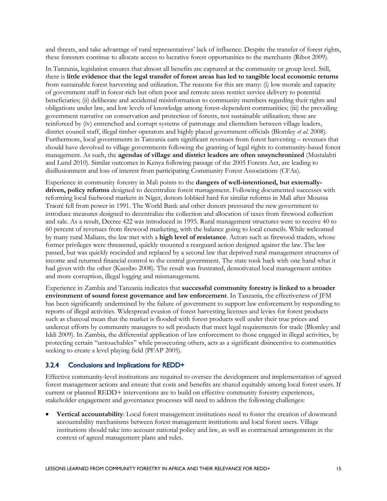and threats, and take advantage of rural representatives' lack of influence. Despite the transfer of forest rights, these foresters continue to allocate access to lucrative forest opportunities to the merchants (Ribot 2009).

In Tanzania, legislation ensures that almost all benefits are captured at the community or group level. Still, there is **little evidence that the legal transfer of forest areas has led to tangible local economic returns** from sustainable forest harvesting and utilization. The reasons for this are many: (i) low morale and capacity of government staff in forest-rich but often poor and remote areas restrict service delivery to potential beneficiaries; (ii) deliberate and accidental misinformation to community members regarding their rights and obligations under law, and low levels of knowledge among forest-dependent communities; (iii) the prevailing government narrative on conservation and protection of forests, not sustainable utilization; these are reinforced by (iv) entrenched and corrupt systems of patronage and clientelism between village leaders, district council staff, illegal timber operators and highly placed government officials (Blomley *et al*. 2008). Furthermore, local governments in Tanzania earn significant revenues from forest harvesting – revenues that should have devolved to village governments following the granting of legal rights to community-based forest management. As such, the **agendas of village and district leaders are often unsynchronized** (Mustalahti and Lund 2010). Similar outcomes in Kenya following passage of the 2005 Forests Act, are leading to disillusionment and loss of interest from participating Community Forest Associations (CFAs).

Experience in community forestry in Mali points to the **dangers of well-intentioned, but externallydriven, policy reforms** designed to decentralize forest management. Following documented successes with reforming local fuelwood markets in Niger, donors lobbied hard for similar reforms in Mali after Moussa Traoré fell from power in 1991. The World Bank and other donors pressured the new government to introduce measures designed to decentralize the collection and allocation of taxes from firewood collection and sale. As a result, Decree 422 was introduced in 1995. Rural management structures were to receive 40 to 60 percent of revenues from firewood marketing, with the balance going to local councils. While welcomed by many rural Malians, the law met with a **high level of resistance**. Actors such as firewood traders, whose former privileges were threatened, quickly mounted a rearguard action designed against the law. The law passed, but was quickly rescinded and replaced by a second law that deprived rural management structures of income and returned financial control to the central government. The state took back with one hand what it had given with the other (Kassibo 2008). The result was frustrated, demotivated local management entities and more corruption, illegal logging and mismanagement.

Experience in Zambia and Tanzania indicates that **successful community forestry is linked to a broader environment of sound forest governance and law enforcement**. In Tanzania, the effectiveness of JFM has been significantly undermined by the failure of government to support law enforcement by responding to reports of illegal activities. Widespread evasion of forest harvesting licenses and levies for forest products such as charcoal mean that the market is flooded with forest products well under their true prices and undercut efforts by community managers to sell products that meet legal requirements for trade (Blomley and Iddi 2009). In Zambia, the differential application of law enforcement to those engaged in illegal activities, by protecting certain "untouchables" while prosecuting others, acts as a significant disincentive to communities seeking to create a level playing field (PFAP 2005).

#### <span id="page-23-0"></span>3.2.4 Conclusions and Implications for REDD+

Effective community-level institutions are required to oversee the development and implementation of agreed forest management actions and ensure that costs and benefits are shared equitably among local forest users. If current or planned REDD+ interventions are to build on effective community forestry experiences, stakeholder engagement and governance processes will need to address the following challenges:

• **Vertical accountability**: Local forest management institutions need to foster the creation of downward accountability mechanisms between forest management institutions and local forest users. Village institutions should take into account national policy and law, as well as contractual arrangements in the context of agreed management plans and rules.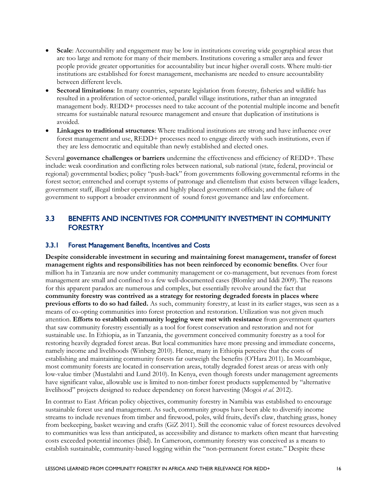- **Scale**: Accountability and engagement may be low in institutions covering wide geographical areas that are too large and remote for many of their members. Institutions covering a smaller area and fewer people provide greater opportunities for accountability but incur higher overall costs. Where multi-tier institutions are established for forest management, mechanisms are needed to ensure accountability between different levels.
- **Sectoral limitations**: In many countries, separate legislation from forestry, fisheries and wildlife has resulted in a proliferation of sector-oriented, parallel village institutions, rather than an integrated management body. REDD+ processes need to take account of the potential multiple income and benefit streams for sustainable natural resource management and ensure that duplication of institutions is avoided.
- **Linkages to traditional structures**: Where traditional institutions are strong and have influence over forest management and use, REDD+ processes need to engage directly with such institutions, even if they are less democratic and equitable than newly established and elected ones.

Several **governance challenges or barriers** undermine the effectiveness and efficiency of REDD+. These include: weak coordination and conflicting roles between national, sub national (state, federal, provincial or regional) governmental bodies; policy "push-back" from governments following governmental reforms in the forest sector; entrenched and corrupt systems of patronage and clientelism that exists between village leaders, government staff, illegal timber operators and highly placed government officials; and the failure of government to support a broader environment of sound forest governance and law enforcement.

### <span id="page-24-0"></span>3.3 BENEFITS AND INCENTIVES FOR COMMUNITY INVESTMENT IN COMMUNITY **FORESTRY**

#### <span id="page-24-1"></span>3.3.1 Forest Management Benefits, Incentives and Costs

**Despite considerable investment in securing and maintaining forest management, transfer of forest management rights and responsibilities has not been reinforced by economic benefits**. Over four million ha in Tanzania are now under community management or co-management, but revenues from forest management are small and confined to a few well-documented cases (Blomley and Iddi 2009). The reasons for this apparent paradox are numerous and complex, but essentially revolve around the fact that **community forestry was contrived as a strategy for restoring degraded forests in places where previous efforts to do so had failed.** As such, community forestry, at least in its earlier stages, was seen as a means of co-opting communities into forest protection and restoration. Utilization was not given much attention. **Efforts to establish community logging were met with resistance** from government quarters that saw community forestry essentially as a tool for forest conservation and restoration and not for sustainable use. In Ethiopia, as in Tanzania, the government conceived community forestry as a tool for restoring heavily degraded forest areas. But local communities have more pressing and immediate concerns, namely income and livelihoods (Winberg 2010). Hence, many in Ethiopia perceive that the costs of establishing and maintaining community forests far outweigh the benefits (O'Hara 2011). In Mozambique, most community forests are located in conservation areas, totally degraded forest areas or areas with only low-value timber (Mustalahti and Lund 2010). In Kenya, even though forests under management agreements have significant value, allowable use is limited to non-timber forest products supplemented by "alternative livelihood" projects designed to reduce dependency on forest harvesting (Mogoi *et al*. 2012).

In contrast to East African policy objectives, community forestry in Namibia was established to encourage sustainable forest use and management. As such, community groups have been able to diversify income streams to include revenues from timber and firewood, poles, wild fruits, devil's claw, thatching grass, honey from beekeeping, basket weaving and crafts (GiZ 2011). Still the economic value of forest resources devolved to communities was less than anticipated, as accessibility and distance to markets often meant that harvesting costs exceeded potential incomes (ibid). In Cameroon, community forestry was conceived as a means to establish sustainable, community-based logging within the "non-permanent forest estate." Despite these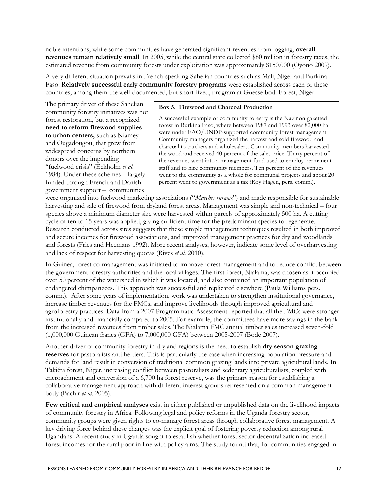noble intentions, while some communities have generated significant revenues from logging, **overall revenues remain relatively small**. In 2005, while the central state collected \$80 million in forestry taxes, the estimated revenue from community forests under exploitation was approximately \$150,000 (Oyono 2009).

A very different situation prevails in French-speaking Sahelian countries such as Mali, Niger and Burkina Faso. R**elatively successful early community forestry programs** were established across each of these countries, among them the well-documented, but short-lived, program at Guesselbodi Forest, Niger.

The primary driver of these Sahelian community forestry initiatives was not forest restoration, but a recognized **need to reform firewood supplies to urban centers,** such as Niamey and Ougadougou, that grew from widespread concerns by northern donors over the impending "fuelwood crisis" (Eckholm *et al*. 1984). Under these schemes – largely funded through French and Danish government support – communities

#### **Box 5. Firewood and Charcoal Production**

A successful example of community forestry is the Nazinon gazetted forest in Burkina Faso, where between 1987 and 1993 over 82,000 ha were under FAO/UNDP-supported community forest management. Community managers organized the harvest and sold firewood and charcoal to truckers and wholesalers. Community members harvested the wood and received 40 percent of the sales price. Thirty percent of the revenues went into a management fund used to employ permanent staff and to hire community members. Ten percent of the revenues went to the community as a whole for communal projects and about 20 percent went to government as a tax (Roy Hagen, pers. comm.).

were organized into fuelwood marketing associations ("*Marchés ruraux*") and made responsible for sustainable harvesting and sale of firewood from dryland forest areas. Management was simple and non-technical – four species above a minimum diameter size were harvested within parcels of approximately 500 ha. A cutting cycle of ten to 15 years was applied, giving sufficient time for the predominant species to regenerate. Research conducted across sites suggests that these simple management techniques resulted in both improved and secure incomes for firewood associations, and improved management practices for dryland woodlands and forests (Fries and Heemans 1992). More recent analyses, however, indicate some level of overharvesting and lack of respect for harvesting quotas (Rives *et al.* 2010).

In Guinea, forest co-management was initiated to improve forest management and to reduce conflict between the government forestry authorities and the local villages. The first forest, Nialama, was chosen as it occupied over 50 percent of the watershed in which it was located, and also contained an important population of endangered chimpanzees. This approach was successful and replicated elsewhere (Paula Williams pers. comm.). After some years of implementation, work was undertaken to strengthen institutional governance, increase timber revenues for the FMCs, and improve livelihoods through improved agricultural and agroforestry practices. Data from a 2007 Programmatic Assessment reported that all the FMCs were stronger institutionally and financially compared to 2005. For example, the committees have more savings in the bank from the increased revenues from timber sales. The Nialama FMC annual timber sales increased seven-fold (1,000,000 Guinean francs (GFA) to 7,000,000 GFA) between 2005-2007 (Bode 2007).

Another driver of community forestry in dryland regions is the need to establish **dry season grazing reserves** for pastoralists and herders. This is particularly the case when increasing population pressure and demands for land result in conversion of traditional common grazing lands into private agricultural lands. In Takiéta forest, Niger, increasing conflict between pastoralists and sedentary agriculturalists, coupled with encroachment and conversion of a 6,700 ha forest reserve, was the primary reason for establishing a collaborative management approach with different interest groups represented on a common management body (Bachir *et al*. 2005).

**Few critical and empirical analyses** exist in either published or unpublished data on the livelihood impacts of community forestry in Africa. Following legal and policy reforms in the Uganda forestry sector, community groups were given rights to co-manage forest areas through collaborative forest management. A key driving force behind these changes was the explicit goal of fostering poverty reduction among rural Ugandans. A recent study in Uganda sought to establish whether forest sector decentralization increased forest incomes for the rural poor in line with policy aims. The study found that, for communities engaged in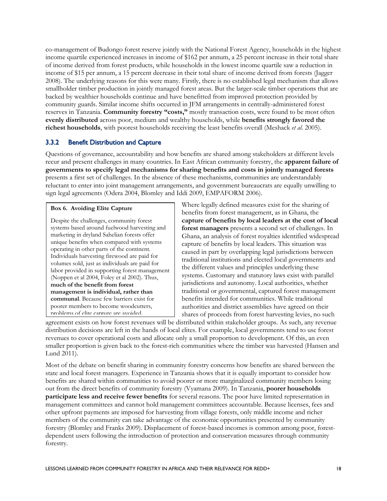co-management of Budongo forest reserve jointly with the National Forest Agency, households in the highest income quartile experienced increases in income of \$162 per annum, a 25 percent increase in their total share of income derived from forest products, while households in the lowest income quartile saw a reduction in income of \$15 per annum, a 15 percent decrease in their total share of income derived from forests (Jagger 2008). The underlying reasons for this were many. Firstly, there is no established legal mechanism that allows smallholder timber production in jointly managed forest areas. But the larger-scale timber operations that are backed by wealthier households continue and have benefitted from improved protection provided by community guards. Similar income shifts occurred in JFM arrangements in centrally-administered forest reserves in Tanzania. **Community forestry "costs,"** mostly transaction costs, were found to be most often **evenly distributed** across poor, medium and wealthy households, while **benefits strongly favored the richest households**, with poorest households receiving the least benefits overall (Meshack *et al*. 2005).

#### <span id="page-26-0"></span>3.3.2 Benefit Distribution and Capture

Questions of governance, accountability and how benefits are shared among stakeholders at different levels recur and present challenges in many countries. In East African community forestry, the **apparent failure of governments to specify legal mechanisms for sharing benefits and costs in jointly managed forests** presents a first set of challenges. In the absence of these mechanisms, communities are understandably reluctant to enter into joint management arrangements, and government bureaucrats are equally unwilling to sign legal agreements (Odera 2004, Blomley and Iddi 2009, EMPAFORM 2006).

#### **Box 6. Avoiding Elite Capture**

Despite the challenges, community forest systems based around fuelwood harvesting and marketing in dryland Sahelian forests offer unique benefits when compared with systems operating in other parts of the continent. Individuals harvesting firewood are paid for volumes sold, just as individuals are paid for labor provided in supporting forest management (Noppen et al 2004, Foley et al 2002). Thus, **much of the benefit from forest management is individual, rather than communal**. Because few barriers exist for poorer members to become woodcutters, problems of elite capture are avoided.

Where legally defined measures exist for the sharing of benefits from forest management, as in Ghana, the **capture of benefits by local leaders at the cost of local forest managers** presents a second set of challenges. In Ghana, an analysis of forest royalties identified widespread capture of benefits by local leaders. This situation was caused in part by overlapping legal jurisdictions between traditional institutions and elected local governments and the different values and principles underlying these systems. Customary and statutory laws exist with parallel jurisdictions and autonomy. Local authorities, whether traditional or governmental, captured forest management benefits intended for communities. While traditional authorities and district assemblies have agreed on their shares of proceeds from forest harvesting levies, no such

agreement exists on how forest revenues will be distributed within stakeholder groups. As such, any revenue distribution decisions are left in the hands of local elites. For example, local governments tend to use forest revenues to cover operational costs and allocate only a small proportion to development. Of this, an even smaller proportion is given back to the forest-rich communities where the timber was harvested (Hansen and Lund 2011).

Most of the debate on benefit sharing in community forestry concerns how benefits are shared between the state and local forest managers. Experience in Tanzania shows that it is equally important to consider how benefits are shared within communities to avoid poorer or more marginalized community members losing out from the direct benefits of community forestry (Vyamana 2009). In Tanzania, **poorer households participate less and receive fewer benefits** for several reasons. The poor have limited representation in management committees and cannot hold management committees accountable. Because licenses, fees and other upfront payments are imposed for harvesting from village forests, only middle income and richer members of the community can take advantage of the economic opportunities presented by community forestry (Blomley and Franks 2009). Displacement of forest-based incomes is common among poor, forestdependent users following the introduction of protection and conservation measures through community forestry.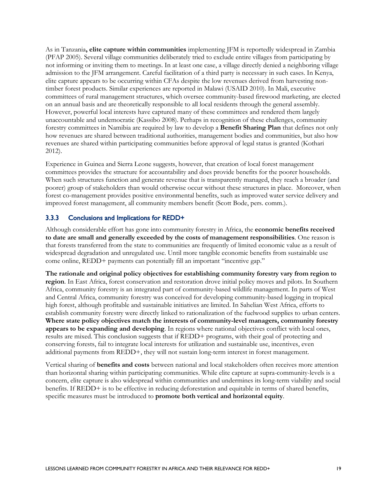As in Tanzania**, elite capture within communities** implementing JFM is reportedly widespread in Zambia (PFAP 2005). Several village communities deliberately tried to exclude entire villages from participating by not informing or inviting them to meetings. In at least one case, a village directly denied a neighboring village admission to the JFM arrangement. Careful facilitation of a third party is necessary in such cases. In Kenya, elite capture appears to be occurring within CFAs despite the low revenues derived from harvesting nontimber forest products. Similar experiences are reported in Malawi (USAID 2010). In Mali, executive committees of rural management structures, which oversee community-based firewood marketing, are elected on an annual basis and are theoretically responsible to all local residents through the general assembly. However, powerful local interests have captured many of these committees and rendered them largely unaccountable and undemocratic (Kassibo 2008). Perhaps in recognition of these challenges, community forestry committees in Namibia are required by law to develop a **Benefit Sharing Plan** that defines not only how revenues are shared between traditional authorities, management bodies and communities, but also how revenues are shared within participating communities before approval of legal status is granted (Kothari 2012).

Experience in Guinea and Sierra Leone suggests, however, that creation of local forest management committees provides the structure for accountability and does provide benefits for the poorer households. When such structures function and generate revenue that is transparently managed, they reach a broader (and poorer) group of stakeholders than would otherwise occur without these structures in place. Moreover, when forest co-management provides positive environmental benefits, such as improved water service delivery and improved forest management, all community members benefit (Scott Bode, pers. comm.).

#### <span id="page-27-0"></span>3.3.3 Conclusions and Implications for REDD+

Although considerable effort has gone into community forestry in Africa, the **economic benefits received to date are small and generally exceeded by the costs of management responsibilities**. One reason is that forests transferred from the state to communities are frequently of limited economic value as a result of widespread degradation and unregulated use. Until more tangible economic benefits from sustainable use come online, REDD+ payments can potentially fill an important "incentive gap."

**The rationale and original policy objectives for establishing community forestry vary from region to region**. In East Africa, forest conservation and restoration drove initial policy moves and pilots. In Southern Africa, community forestry is an integrated part of community-based wildlife management. In parts of West and Central Africa, community forestry was conceived for developing community-based logging in tropical high forest, although profitable and sustainable initiatives are limited. In Sahelian West Africa, efforts to establish community forestry were directly linked to rationalization of the fuelwood supplies to urban centers. **Where state policy objectives match the interests of community-level managers, community forestry appears to be expanding and developing**. In regions where national objectives conflict with local ones, results are mixed. This conclusion suggests that if REDD+ programs, with their goal of protecting and conserving forests, fail to integrate local interests for utilization and sustainable use, incentives, even additional payments from REDD+, they will not sustain long-term interest in forest management.

Vertical sharing of **benefits and costs** between national and local stakeholders often receives more attention than horizontal sharing within participating communities. While elite capture at supra-community-levels is a concern, elite capture is also widespread within communities and undermines its long-term viability and social benefits. If REDD+ is to be effective in reducing deforestation and equitable in terms of shared benefits, specific measures must be introduced to **promote both vertical and horizontal equity**.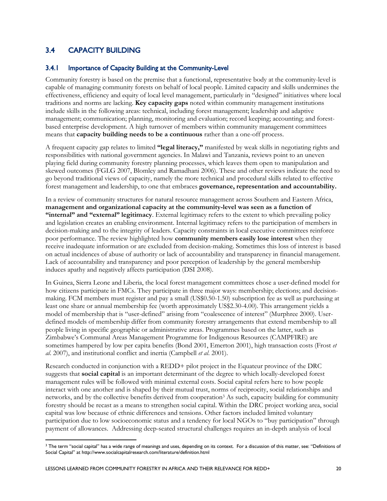### <span id="page-28-0"></span>3.4 CAPACITY BUILDING

#### <span id="page-28-1"></span>3.4.1 Importance of Capacity Building at the Community-Level

Community forestry is based on the premise that a functional, representative body at the community-level is capable of managing community forests on behalf of local people. Limited capacity and skills undermines the effectiveness, efficiency and equity of local level management, particularly in "designed" initiatives where local traditions and norms are lacking. **Key capacity gaps** noted within community management institutions include skills in the following areas: technical, including forest management; leadership and adaptive management; communication; planning, monitoring and evaluation; record keeping; accounting; and forestbased enterprise development. A high turnover of members within community management committees means that **capacity building needs to be a continuous** rather than a one-off process.

A frequent capacity gap relates to limited **"legal literacy,"** manifested by weak skills in negotiating rights and responsibilities with national government agencies. In Malawi and Tanzania, reviews point to an uneven playing field during community forestry planning processes, which leaves them open to manipulation and skewed outcomes (FGLG 2007, Blomley and Ramadhani 2006). These and other reviews indicate the need to go beyond traditional views of capacity, namely the more technical and procedural skills related to effective forest management and leadership, to one that embraces **governance, representation and accountability.** 

In a review of community structures for natural resource management across Southern and Eastern Africa, **management and organizational capacity at the community-level was seen as a function of "internal" and "external" legitimacy**. External legitimacy refers to the extent to which prevailing policy and legislation creates an enabling environment. Internal legitimacy refers to the participation of members in decision-making and to the integrity of leaders. Capacity constraints in local executive committees reinforce poor performance. The review highlighted how **community members easily lose interest** when they receive inadequate information or are excluded from decision-making. Sometimes this loss of interest is based on actual incidences of abuse of authority or lack of accountability and transparency in financial management. Lack of accountability and transparency and poor perception of leadership by the general membership induces apathy and negatively affects participation (DSI 2008).

In Guinea, Sierra Leone and Liberia, the local forest management committees chose a user-defined model for how citizens participate in FMCs. They participate in three major ways: membership; elections; and decisionmaking. FCM members must register and pay a small (US\$0.50-1.50) subscription fee as well as purchasing at least one share or annual membership fee (worth approximately US\$2.30-4.00). This arrangement yields a model of membership that is "user-defined" arising from "coalescence of interest" (Murphree 2000). Userdefined models of membership differ from community forestry arrangements that extend membership to all people living in specific geographic or administrative areas. Programmes based on the latter, such as Zimbabwe's Communal Areas Management Programme for Indigenous Resources (CAMPFIRE) are sometimes hampered by low per capita benefits (Bond 2001, Emerton 2001), high transaction costs (Frost *et al*. 2007), and institutional conflict and inertia (Campbell *et al*. 2001).

Research conducted in conjunction with a REDD+ pilot project in the Equateur province of the DRC suggests that **social capital** is an important determinant of the degree to which locally-developed forest management rules will be followed with minimal external costs. Social capital refers here to how people interact with one another and is shaped by their mutual trust, norms of reciprocity, social relationships and networks, and by the collective benefits derived from cooperation<sup>3</sup> As such, capacity building for community forestry should be recast as a means to strengthen social capital. Within the DRC project working area, social capital was low because of ethnic differences and tensions. Other factors included limited voluntary participation due to low socioeconomic status and a tendency for local NGOs to "buy participation" through payment of allowances. Addressing deep-seated structural challenges requires an in-depth analysis of local

-

<sup>&</sup>lt;sup>3</sup> The term "social capital" has a wide range of meanings and uses, depending on its context. For a discussion of this matter, see: "Definitions of Social Capital" at http://www.socialcapitalresearch.com/literature/definition.html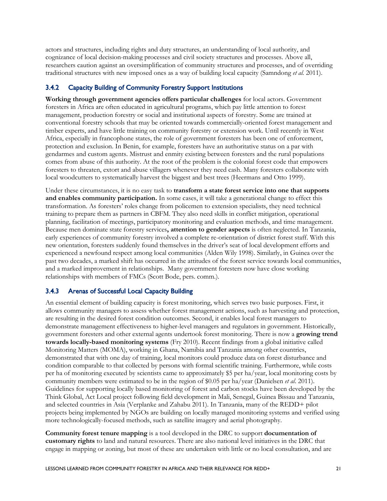actors and structures, including rights and duty structures, an understanding of local authority, and cognizance of local decision-making processes and civil society structures and processes. Above all, researchers caution against an oversimplification of community structures and processes, and of overriding traditional structures with new imposed ones as a way of building local capacity (Samndong *et al.* 2011).

#### <span id="page-29-0"></span>3.4.2 Capacity Building of Community Forestry Support Institutions

**Working through government agencies offers particular challenges** for local actors. Government foresters in Africa are often educated in agricultural programs, which pay little attention to forest management, production forestry or social and institutional aspects of forestry. Some are trained at conventional forestry schools that may be oriented towards commercially-oriented forest management and timber experts, and have little training on community forestry or extension work. Until recently in West Africa, especially in francophone states, the role of government foresters has been one of enforcement, protection and exclusion. In Benin, for example, foresters have an authoritative status on a par with gendarmes and custom agents. Mistrust and enmity existing between foresters and the rural populations comes from abuse of this authority. At the root of the problem is the colonial forest code that empowers foresters to threaten, extort and abuse villagers whenever they need cash. Many foresters collaborate with local woodcutters to systematically harvest the biggest and best trees (Heermans and Otto 1999).

Under these circumstances, it is no easy task to **transform a state forest service into one that supports and enables community participation.** In some cases, it will take a generational change to effect this transformation. As foresters' roles change from policemen to extension specialists, they need technical training to prepare them as partners in CBFM. They also need skills in conflict mitigation, operational planning, facilitation of meetings, participatory monitoring and evaluation methods, and time management. Because men dominate state forestry services**, attention to gender aspects** is often neglected. In Tanzania, early experiences of community forestry involved a complete re-orientation of district forest staff. With this new orientation, foresters suddenly found themselves in the driver's seat of local development efforts and experienced a newfound respect among local communities (Alden Wily 1998). Similarly, in Guinea over the past two decades, a marked shift has occurred in the attitudes of the forest service towards local communities, and a marked improvement in relationships. Many government foresters now have close working relationships with members of FMCs (Scott Bode, pers. comm.).

#### <span id="page-29-1"></span>3.4.3 Arenas of Successful Local Capacity Building

An essential element of building capacity is forest monitoring, which serves two basic purposes. First, it allows community managers to assess whether forest management actions, such as harvesting and protection, are resulting in the desired forest condition outcomes. Second, it enables local forest managers to demonstrate management effectiveness to higher-level managers and regulators in government. Historically, government foresters and other external agents undertook forest monitoring. There is now a **growing trend towards locally-based monitoring systems** (Fry 2010). Recent findings from a global initiative called Monitoring Matters (MOMA), working in Ghana, Namibia and Tanzania among other countries, demonstrated that with one day of training, local monitors could produce data on forest disturbance and condition comparable to that collected by persons with formal scientific training. Furthermore, while costs per ha of monitoring executed by scientists came to approximately \$5 per ha/year, local monitoring costs by community members were estimated to be in the region of \$0.05 per ha/year (Danielsen *et al*. 2011). Guidelines for supporting locally based monitoring of forest and carbon stocks have been developed by the Think Global, Act Local project following field development in Mali, Senegal, Guinea Bissau and Tanzania, and selected countries in Asia (Verplanke and Zahabu 2011). In Tanzania, many of the REDD+ pilot projects being implemented by NGOs are building on locally managed monitoring systems and verified using more technologically-focused methods, such as satellite imagery and aerial photography.

**Community forest tenure mapping** is a tool developed in the DRC to support **documentation of customary rights** to land and natural resources. There are also national level initiatives in the DRC that engage in mapping or zoning, but most of these are undertaken with little or no local consultation, and are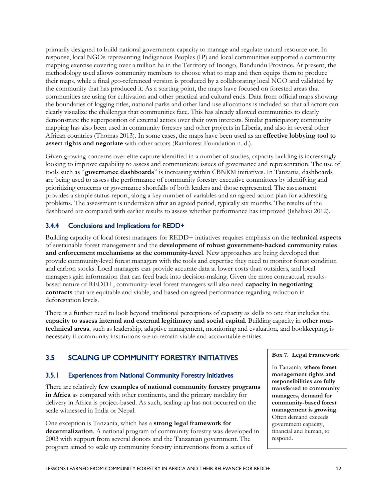primarily designed to build national government capacity to manage and regulate natural resource use. In response, local NGOs representing Indigenous Peoples (IP) and local communities supported a community mapping exercise covering over a million ha in the Territory of Inongo, Bandundu Province. At present, the methodology used allows community members to choose what to map and then equips them to produce their maps, while a final geo-referenced version is produced by a collaborating local NGO and validated by the community that has produced it. As a starting point, the maps have focused on forested areas that communities are using for cultivation and other practical and cultural ends. Data from official maps showing the boundaries of logging titles, national parks and other land use allocations is included so that all actors can clearly visualize the challenges that communities face. This has already allowed communities to clearly demonstrate the superposition of external actors over their own interests. Similar participatory community mapping has also been used in community forestry and other projects in Liberia, and also in several other African countries (Thomas 2013). In some cases, the maps have been used as an **effective lobbying tool to assert rights and negotiate** with other actors (Rainforest Foundation n. d.).

Given growing concerns over elite capture identified in a number of studies, capacity building is increasingly looking to improve capability to assess and communicate issues of governance and representation. The use of tools such as "**governance dashboards**" is increasing within CBNRM initiatives. In Tanzania, dashboards are being used to assess the performance of community forestry executive committees by identifying and prioritizing concerns or governance shortfalls of both leaders and those represented. The assessment provides a simple status report, along a key number of variables and an agreed action plan for addressing problems. The assessment is undertaken after an agreed period, typically six months. The results of the dashboard are compared with earlier results to assess whether performance has improved (Ishabaki 2012).

#### <span id="page-30-0"></span>3.4.4 Conclusions and Implications for REDD+

Building capacity of local forest managers for REDD+ initiatives requires emphasis on the **technical aspects** of sustainable forest management and the **development of robust government-backed community rules and enforcement mechanisms at the community-level**. New approaches are being developed that provide community-level forest managers with the tools and expertise they need to monitor forest condition and carbon stocks. Local managers can provide accurate data at lower costs than outsiders, and local managers gain information that can feed back into decision-making. Given the more contractual, resultsbased nature of REDD+, community-level forest managers will also need **capacity in negotiating contracts** that are equitable and viable, and based on agreed performance regarding reduction in deforestation levels.

There is a further need to look beyond traditional perceptions of capacity as skills to one that includes the **capacity to assess internal and external legitimacy and social capital**. Building capacity in **other nontechnical areas**, such as leadership, adaptive management, monitoring and evaluation, and bookkeeping, is necessary if community institutions are to remain viable and accountable entities.

### <span id="page-30-1"></span>3.5 SCALING UP COMMUNITY FORESTRY INITIATIVES

#### <span id="page-30-2"></span>3.5.1 Experiences from National Community Forestry Initiatives

There are relatively **few examples of national community forestry programs in Africa** as compared with other continents, and the primary modality for delivery in Africa is project-based. As such, scaling up has not occurred on the scale witnessed in India or Nepal.

One exception is Tanzania, which has a **strong legal framework for decentralization**. A national program of community forestry was developed in 2003 with support from several donors and the Tanzanian government. The program aimed to scale up community forestry interventions from a series of

#### **Box 7. Legal Framework**

In Tanzania, **where forest management rights and responsibilities are fully transferred to community managers, demand for community-based forest management is growing**. Often demand exceeds government capacity, financial and human, to respond.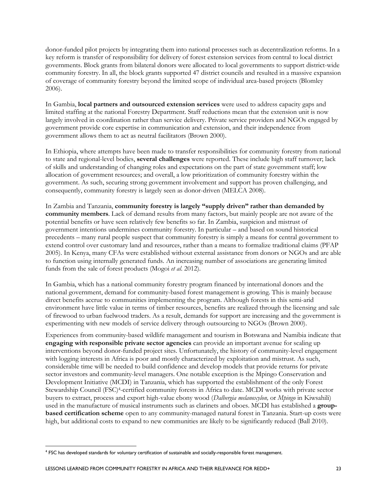donor-funded pilot projects by integrating them into national processes such as decentralization reforms. In a key reform is transfer of responsibility for delivery of forest extension services from central to local district governments. Block grants from bilateral donors were allocated to local governments to support district-wide community forestry. In all, the block grants supported 47 district councils and resulted in a massive expansion of coverage of community forestry beyond the limited scope of individual area-based projects (Blomley 2006).

In Gambia, **local partners and outsourced extension services** were used to address capacity gaps and limited staffing at the national Forestry Department. Staff reductions mean that the extension unit is now largely involved in coordination rather than service delivery. Private service providers and NGOs engaged by government provide core expertise in communication and extension, and their independence from government allows them to act as neutral facilitators (Brown 2000).

In Ethiopia, where attempts have been made to transfer responsibilities for community forestry from national to state and regional-level bodies, **several challenges** were reported. These include high staff turnover; lack of skills and understanding of changing roles and expectations on the part of state government staff; low allocation of government resources; and overall, a low prioritization of community forestry within the government. As such, securing strong government involvement and support has proven challenging, and consequently, community forestry is largely seen as donor-driven (MELCA 2008).

In Zambia and Tanzania, **community forestry is largely "supply driven" rather than demanded by community members**. Lack of demand results from many factors, but mainly people are not aware of the potential benefits or have seen relatively few benefits so far. In Zambia, suspicion and mistrust of government intentions undermines community forestry. In particular – and based on sound historical precedents – many rural people suspect that community forestry is simply a means for central government to extend control over customary land and resources, rather than a means to formalize traditional claims (PFAP 2005). In Kenya, many CFAs were established without external assistance from donors or NGOs and are able to function using internally generated funds. An increasing number of associations are generating limited funds from the sale of forest products (Mogoi *et al*. 2012).

In Gambia, which has a national community forestry program financed by international donors and the national government, demand for community-based forest management is growing. This is mainly because direct benefits accrue to communities implementing the program. Although forests in this semi-arid environment have little value in terms of timber resources, benefits are realized through the licensing and sale of firewood to urban fuelwood traders. As a result, demands for support are increasing and the government is experimenting with new models of service delivery through outsourcing to NGOs (Brown 2000).

Experiences from community-based wildlife management and tourism in Botswana and Namibia indicate that **engaging with responsible private sector agencies** can provide an important avenue for scaling up interventions beyond donor-funded project sites. Unfortunately, the history of community-level engagement with logging interests in Africa is poor and mostly characterized by exploitation and mistrust. As such, considerable time will be needed to build confidence and develop models that provide returns for private sector investors and community-level managers. One notable exception is the Mpingo Conservation and Development Initiative (MCDI) in Tanzania, which has supported the establishment of the only Forest Stewardship Council (FSC)4-certified community forests in Africa to date. MCDI works with private sector buyers to extract, process and export high-value ebony wood (*Dalbergia melanoxylon,* or *Mpingo* in Kiwsahili) used in the manufacture of musical instruments such as clarinets and oboes. MCDI has established a **groupbased certification scheme** open to any community-managed natural forest in Tanzania. Start-up costs were high, but additional costs to expand to new communities are likely to be significantly reduced (Ball 2010).

<sup>&</sup>lt;u>.</u> <sup>4</sup> FSC has developed standards for voluntary certification of sustainable and socially-responsible forest management.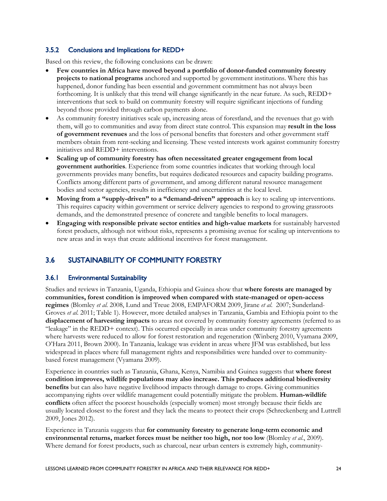#### <span id="page-32-0"></span>3.5.2 Conclusions and Implications for REDD+

Based on this review, the following conclusions can be drawn:

- **Few countries in Africa have moved beyond a portfolio of donor-funded community forestry projects to national programs** anchored and supported by government institutions. Where this has happened, donor funding has been essential and government commitment has not always been forthcoming. It is unlikely that this trend will change significantly in the near future. As such, REDD+ interventions that seek to build on community forestry will require significant injections of funding beyond those provided through carbon payments alone.
- As community forestry initiatives scale up, increasing areas of forestland, and the revenues that go with them, will go to communities and away from direct state control. This expansion may **result in the loss of government revenues** and the loss of personal benefits that foresters and other government staff members obtain from rent-seeking and licensing. These vested interests work against community forestry initiatives and REDD+ interventions.
- **Scaling up of community forestry has often necessitated greater engagement from local government authorities**. Experience from some countries indicates that working through local governments provides many benefits, but requires dedicated resources and capacity building programs. Conflicts among different parts of government, and among different natural resource management bodies and sector agencies, results in inefficiency and uncertainties at the local level.
- **Moving from a "supply-driven" to a "demand-driven" approach** is key to scaling up interventions. This requires capacity within government or service delivery agencies to respond to growing grassroots demands, and the demonstrated presence of concrete and tangible benefits to local managers.
- **Engaging with responsible private sector entities and high-value markets** for sustainably harvested forest products, although not without risks, represents a promising avenue for scaling up interventions to new areas and in ways that create additional incentives for forest management.

## <span id="page-32-1"></span>3.6 SUSTAINABILITY OF COMMUNITY FORESTRY

#### <span id="page-32-2"></span>3.6.1 Environmental Sustainability

Studies and reviews in Tanzania, Uganda, Ethiopia and Guinea show that **where forests are managed by communities, forest condition is improved when compared with state-managed or open-access regimes** (Blomley *et al.* 2008, Lund and Treue 2008, EMPAFORM 2009, Jirane *et al*. 2007; Sunderland-Groves *et al*. 2011; Table 1). However, more detailed analyses in Tanzania, Gambia and Ethiopia point to the **displacement of harvesting impacts** to areas not covered by community forestry agreements (referred to as "leakage" in the REDD+ context). This occurred especially in areas under community forestry agreements where harvests were reduced to allow for forest restoration and regeneration (Winberg 2010, Vyamana 2009, O'Hara 2011, Brown 2000). In Tanzania, leakage was evident in areas where JFM was established, but less widespread in places where full management rights and responsibilities were handed over to communitybased forest management (Vyamana 2009).

Experience in countries such as Tanzania, Ghana, Kenya, Namibia and Guinea suggests that **where forest condition improves, wildlife populations may also increase. This produces additional biodiversity benefits** but can also have negative livelihood impacts through damage to crops. Giving communities accompanying rights over wildlife management could potentially mitigate the problem. **Human-wildlife conflicts** often affect the poorest households (especially women) most strongly because their fields are usually located closest to the forest and they lack the means to protect their crops (Schreckenberg and Luttrell 2009, Jones 2012).

Experience in Tanzania suggests that **for community forestry to generate long-term economic and environmental returns, market forces must be neither too high, nor too low** (Blomley *et al*., 2009). Where demand for forest products, such as charcoal, near urban centers is extremely high, community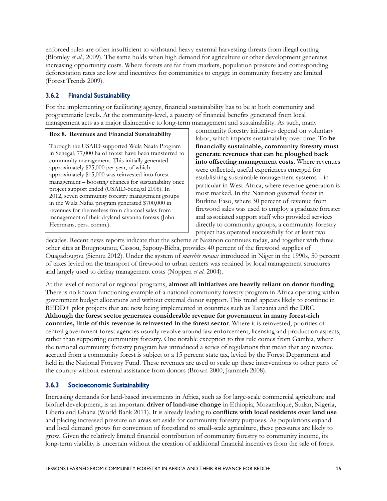enforced rules are often insufficient to withstand heavy external harvesting threats from illegal cutting (Blomley *et al*., 2009). The same holds when high demand for agriculture or other development generates increasing opportunity costs. Where forests are far from markets, population pressure and corresponding deforestation rates are low and incentives for communities to engage in community forestry are limited (Forest Trends 2009).

#### <span id="page-33-0"></span>3.6.2 Financial Sustainability

For the implementing or facilitating agency, financial sustainability has to be at both community and programmatic levels. At the community-level, a paucity of financial benefits generated from local management acts as a major disincentive to long-term management and sustainability. As such, many

#### **Box 8. Revenues and Financial Sustainability**

Through the USAID-supported Wula Naafa Program in Senegal, 77,000 ha of forest have been transferred to community management. This initially generated approximately \$25,000 per year, of which approximately \$15,000 was reinvested into forest management – boosting chances for sustainability once project support ended (USAID-Senegal 2008). In 2012, seven community forestry management groups in the Wula Nafaa program generated \$700,000 in revenues for themselves from charcoal sales from management of their dryland savanna forests (John Heermans, pers. comm.).

community forestry initiatives depend on voluntary labor, which impacts sustainability over time. **To be financially sustainable, community forestry must generate revenues that can be ploughed back into offsetting management costs**. Where revenues were collected, useful experiences emerged for establishing sustainable management systems – in particular in West Africa, where revenue generation is most marked. In the Nazinon gazetted forest in Burkina Faso, where 30 percent of revenue from firewood sales was used to employ a graduate forester and associated support staff who provided services directly to community groups, a community forestry project has operated successfully for at least two

decades. Recent news reports indicate that the scheme at Nazinon continues today, and together with three other sites at Bougnounou, Cassou, Sapouy-Biéha, provides 40 percent of the firewood supplies of Ouagadougou (Sienou 2012). Under the system of *marchés ruraux* introduced in Niger in the 1990s, 50 percent of taxes levied on the transport of firewood to urban centers was retained by local management structures and largely used to defray management costs (Noppen *et al*. 2004).

At the level of national or regional programs, **almost all initiatives are heavily reliant on donor funding**. There is no known functioning example of a national community forestry program in Africa operating within government budget allocations and without external donor support. This trend appears likely to continue in REDD+ pilot projects that are now being implemented in countries such as Tanzania and the DRC. **Although the forest sector generates considerable revenue for government in many forest-rich countries, little of this revenue is reinvested in the forest sector**. Where it is reinvested, priorities of central government forest agencies usually revolve around law enforcement, licensing and production aspects, rather than supporting community forestry. One notable exception to this rule comes from Gambia, where the national community forestry program has introduced a series of regulations that mean that any revenue accrued from a community forest is subject to a 15 percent state tax, levied by the Forest Department and held in the National Forestry Fund. These revenues are used to scale up these interventions to other parts of the country without external assistance from donors (Brown 2000, Jammeh 2008).

#### <span id="page-33-1"></span>3.6.3 Socioeconomic Sustainability

Increasing demands for land-based investments in Africa, such as for large-scale commercial agriculture and biofuel development, is an important **driver of land-use change** in Ethiopia, Mozambique, Sudan, Nigeria, Liberia and Ghana (World Bank 2011). It is already leading to **conflicts with local residents over land use** and placing increased pressure on areas set aside for community forestry purposes. As populations expand and local demand grows for conversion of forestland to small-scale agriculture, these pressures are likely to grow. Given the relatively limited financial contribution of community forestry to community income, its long-term viability is uncertain without the creation of additional financial incentives from the sale of forest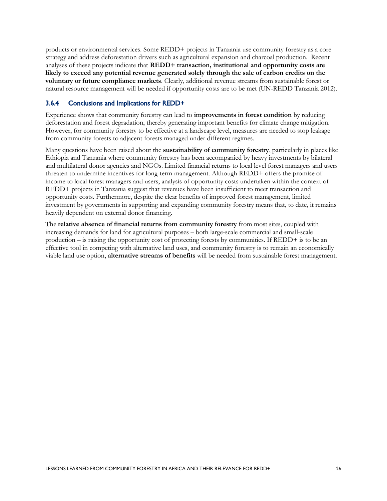products or environmental services. Some REDD+ projects in Tanzania use community forestry as a core strategy and address deforestation drivers such as agricultural expansion and charcoal production. Recent analyses of these projects indicate that **REDD+ transaction, institutional and opportunity costs are likely to exceed any potential revenue generated solely through the sale of carbon credits on the voluntary or future compliance markets**. Clearly, additional revenue streams from sustainable forest or natural resource management will be needed if opportunity costs are to be met (UN-REDD Tanzania 2012).

#### <span id="page-34-0"></span>3.6.4 Conclusions and Implications for REDD+

Experience shows that community forestry can lead to **improvements in forest condition** by reducing deforestation and forest degradation, thereby generating important benefits for climate change mitigation. However, for community forestry to be effective at a landscape level, measures are needed to stop leakage from community forests to adjacent forests managed under different regimes.

Many questions have been raised about the **sustainability of community forestry**, particularly in places like Ethiopia and Tanzania where community forestry has been accompanied by heavy investments by bilateral and multilateral donor agencies and NGOs. Limited financial returns to local level forest managers and users threaten to undermine incentives for long-term management. Although REDD+ offers the promise of income to local forest managers and users, analysis of opportunity costs undertaken within the context of REDD+ projects in Tanzania suggest that revenues have been insufficient to meet transaction and opportunity costs. Furthermore, despite the clear benefits of improved forest management, limited investment by governments in supporting and expanding community forestry means that, to date, it remains heavily dependent on external donor financing.

The **relative absence of financial returns from community forestry** from most sites, coupled with increasing demands for land for agricultural purposes – both large-scale commercial and small-scale production – is raising the opportunity cost of protecting forests by communities. If REDD+ is to be an effective tool in competing with alternative land uses, and community forestry is to remain an economically viable land use option, **alternative streams of benefits** will be needed from sustainable forest management.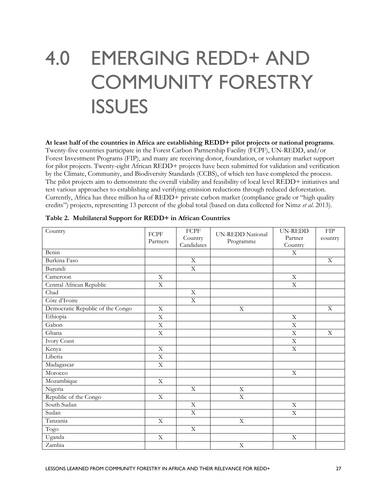## <span id="page-35-0"></span>4.0 EMERGING REDD+ AND COMMUNITY FORESTRY **ISSUES**

**At least half of the countries in Africa are establishing REDD+ pilot projects or national programs**. Twenty-five countries participate in the Forest Carbon Partnership Facility (FCPF), UN-REDD, and/or Forest Investment Programs (FIP), and many are receiving donor, foundation, or voluntary market support for pilot projects. Twenty-eight African REDD+ projects have been submitted for validation and verification by the Climate, Community, and Biodiversity Standards (CCBS), of which ten have completed the process. The pilot projects aim to demonstrate the overall viability and feasibility of local level REDD+ initiatives and test various approaches to establishing and verifying emission reductions through reduced deforestation. Currently, Africa has three million ha of REDD+ private carbon market (compliance grade or "high quality credits") projects, representing 13 percent of the global total (based on data collected for Nimz *et al*. 2013).

| Country                          | FCPF<br>Partners          | <b>FCPF</b><br>Country<br>Candidates | <b>UN-REDD National</b><br>Programme | <b>UN-REDD</b><br>Partner<br>Country | FIP<br>country |
|----------------------------------|---------------------------|--------------------------------------|--------------------------------------|--------------------------------------|----------------|
| Benin                            |                           |                                      |                                      | $\mathbf X$                          |                |
| Burkina Faso                     |                           | $\mathbf X$                          |                                      |                                      | $\mathbf X$    |
| Burundi                          |                           | $\overline{X}$                       |                                      |                                      |                |
| Cameroon                         | $\mathbf X$               |                                      |                                      | $\mathbf X$                          |                |
| Central African Republic         | $\overline{\text{X}}$     |                                      |                                      | $\mathbf X$                          |                |
| Chad                             |                           | X                                    |                                      |                                      |                |
| Côte d'Ivoire                    |                           | $\overline{X}$                       |                                      |                                      |                |
| Democratic Republic of the Congo | $\overline{\mathrm{X}}$   |                                      | X                                    |                                      | $\overline{X}$ |
| Ethiopia                         | $\mathbf X$               |                                      |                                      | X                                    |                |
| Gabon                            | $\overline{\mathbf{X}}$   |                                      |                                      | $\overline{\mathrm{X}}$              |                |
| Ghana                            | $\mathbf X$               |                                      |                                      | $\mathbf X$                          | $\overline{X}$ |
| <b>Ivory Coast</b>               |                           |                                      |                                      | $\mathbf X$                          |                |
| Kenya                            | $\mathbf X$               |                                      |                                      | $\mathbf X$                          |                |
| Liberia                          | $\mathbf X$               |                                      |                                      |                                      |                |
| Madagascar                       | $\mathbf X$               |                                      |                                      |                                      |                |
| Morocco                          |                           |                                      |                                      | $\mathbf X$                          |                |
| Mozambique                       | $\mathbf X$               |                                      |                                      |                                      |                |
| Nigeria                          |                           | $\mathbf X$                          | X                                    |                                      |                |
| Republic of the Congo            | $\overline{\mathrm{X}}$   |                                      | $\overline{\mathrm{X}}$              |                                      |                |
| South Sudan                      |                           | $\overline{X}$                       |                                      | $\mathbf X$                          |                |
| Sudan                            |                           | $\overline{X}$                       |                                      | $\overline{\mathrm{X}}$              |                |
| Tanzania                         | $\mathbf X$               |                                      | X                                    |                                      |                |
| Togo                             |                           | $\overline{X}$                       |                                      |                                      |                |
| Uganda                           | $\boldsymbol{\mathrm{X}}$ |                                      |                                      | $\mathbf X$                          |                |
| Zambia                           |                           |                                      | $\overline{\mathrm{X}}$              |                                      |                |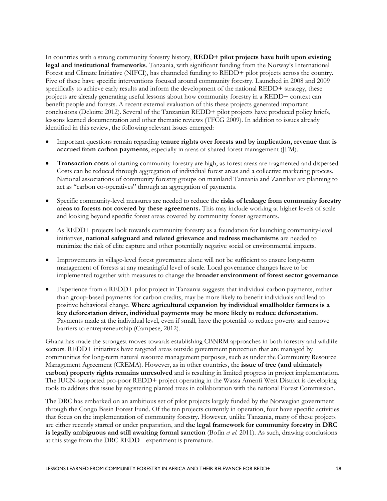In countries with a strong community forestry history, **REDD+ pilot projects have built upon existing legal and institutional frameworks**. Tanzania, with significant funding from the Norway's International Forest and Climate Initiative (NIFCI), has channeled funding to REDD+ pilot projects across the country. Five of these have specific interventions focused around community forestry. Launched in 2008 and 2009 specifically to achieve early results and inform the development of the national REDD+ strategy, these projects are already generating useful lessons about how community forestry in a REDD+ context can benefit people and forests. A recent external evaluation of this these projects generated important conclusions (Deloitte 2012). Several of the Tanzanian REDD+ pilot projects have produced policy briefs, lessons learned documentation and other thematic reviews (TFCG 2009). In addition to issues already identified in this review, the following relevant issues emerged:

- Important questions remain regarding **tenure rights over forests and by implication, revenue that is accrued from carbon payments**, especially in areas of shared forest management (JFM).
- **Transaction costs** of starting community forestry are high, as forest areas are fragmented and dispersed. Costs can be reduced through aggregation of individual forest areas and a collective marketing process. National associations of community forestry groups on mainland Tanzania and Zanzibar are planning to act as "carbon co-operatives" through an aggregation of payments.
- Specific community-level measures are needed to reduce the **risks of leakage from community forestry areas to forests not covered by these agreements.** This may include working at higher levels of scale and looking beyond specific forest areas covered by community forest agreements.
- As REDD+ projects look towards community forestry as a foundation for launching community-level initiatives, **national safeguard and related grievance and redress mechanisms** are needed to minimize the risk of elite capture and other potentially negative social or environmental impacts.
- Improvements in village-level forest governance alone will not be sufficient to ensure long-term management of forests at any meaningful level of scale. Local governance changes have to be implemented together with measures to change the **broader environment of forest sector governance**.
- Experience from a REDD+ pilot project in Tanzania suggests that individual carbon payments, rather than group-based payments for carbon credits, may be more likely to benefit individuals and lead to positive behavioral change. **Where agricultural expansion by individual smallholder farmers is a key deforestation driver, individual payments may be more likely to reduce deforestation.** Payments made at the individual level, even if small, have the potential to reduce poverty and remove barriers to entrepreneurship (Campese, 2012).

Ghana has made the strongest moves towards establishing CBNRM approaches in both forestry and wildlife sectors. REDD+ initiatives have targeted areas outside government protection that are managed by communities for long-term natural resource management purposes, such as under the Community Resource Management Agreement (CREMA). However, as in other countries, the **issue of tree (and ultimately carbon) property rights remains unresolved** and is resulting in limited progress in project implementation. The IUCN-supported pro-poor REDD+ project operating in the Wassa Amenfi West District is developing tools to address this issue by registering planted trees in collaboration with the national Forest Commission.

The DRC has embarked on an ambitious set of pilot projects largely funded by the Norwegian government through the Congo Basin Forest Fund. Of the ten projects currently in operation, four have specific activities that focus on the implementation of community forestry. However, unlike Tanzania, many of these projects are either recently started or under preparation, and **the legal framework for community forestry in DRC is legally ambiguous and still awaiting formal sanction** (Bofin *et al*. 2011). As such, drawing conclusions at this stage from the DRC REDD+ experiment is premature.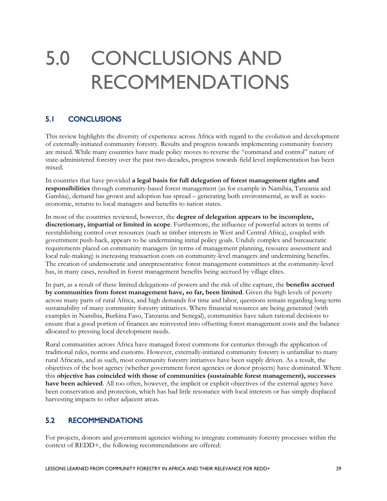## <span id="page-37-0"></span>5.0 CONCLUSIONS AND RECOMMENDATIONS

## <span id="page-37-1"></span>5.1 CONCLUSIONS

This review highlights the diversity of experience across Africa with regard to the evolution and development of externally-initiated community forestry. Results and progress towards implementing community forestry are mixed. While many countries have made policy moves to reverse the "command and control" nature of state-administered forestry over the past two decades, progress towards field level implementation has been mixed.

In countries that have provided **a legal basis for full delegation of forest management rights and responsibilities** through community-based forest management (as for example in Namibia, Tanzania and Gambia), demand has grown and adoption has spread – generating both environmental, as well as socioeconomic, returns to local managers and benefits to nation states.

In most of the countries reviewed, however, the **degree of delegation appears to be incomplete, discretionary, impartial or limited in scope**. Furthermore, the influence of powerful actors in terms of reestablishing control over resources (such as timber interests in West and Central Africa), coupled with government push-back, appears to be undermining initial policy goals. Unduly complex and bureaucratic requirements placed on community managers (in terms of management planning, resource assessment and local rule-making) is increasing transaction costs on community-level managers and undermining benefits. The creation of undemocratic and unrepresentative forest management committees at the community-level has, in many cases, resulted in forest management benefits being accrued by village elites.

In part, as a result of these limited delegations of powers and the risk of elite capture, the **benefits accrued by communities from forest management have, so far, been limited**. Given the high levels of poverty across many parts of rural Africa, and high demands for time and labor, questions remain regarding long-term sustainability of many community forestry initiatives. Where financial resources are being generated (with examples in Namibia, Burkina Faso, Tanzania and Senegal), communities have taken rational decisions to ensure that a good portion of finances are reinvested into offsetting forest management costs and the balance allocated to pressing local development needs.

Rural communities across Africa have managed forest commons for centuries through the application of traditional rules, norms and customs. However, externally-initiated community forestry is unfamiliar to many rural Africans, and as such, most community forestry initiatives have been supply driven. As a result, the objectives of the host agency (whether government forest agencies or donor projects) have dominated. Where this **objective has coincided with those of communities (sustainable forest management), successes have been achieved**. All too often, however, the implicit or explicit objectives of the external agency have been conservation and protection, which has had little resonance with local interests or has simply displaced harvesting impacts to other adjacent areas.

### <span id="page-37-2"></span>5.2 RECOMMENDATIONS

For projects, donors and government agencies wishing to integrate community forestry processes within the context of REDD+, the following recommendations are offered: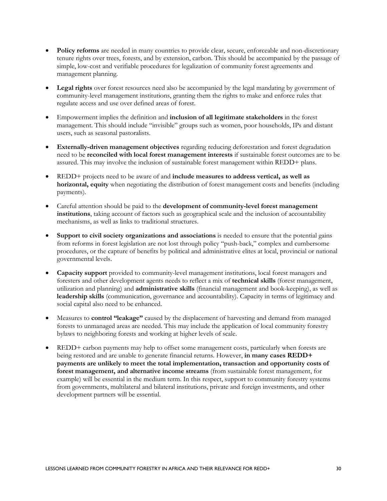- **Policy reforms** are needed in many countries to provide clear, secure, enforceable and non-discretionary tenure rights over trees, forests, and by extension, carbon. This should be accompanied by the passage of simple, low-cost and verifiable procedures for legalization of community forest agreements and management planning.
- **Legal rights** over forest resources need also be accompanied by the legal mandating by government of community-level management institutions, granting them the rights to make and enforce rules that regulate access and use over defined areas of forest.
- Empowerment implies the definition and **inclusion of all legitimate stakeholders** in the forest management. This should include "invisible" groups such as women, poor households, IPs and distant users, such as seasonal pastoralists.
- **Externally-driven management objectives** regarding reducing deforestation and forest degradation need to be **reconciled with local forest management interests** if sustainable forest outcomes are to be assured. This may involve the inclusion of sustainable forest management within REDD+ plans.
- REDD+ projects need to be aware of and **include measures to address vertical, as well as horizontal, equity** when negotiating the distribution of forest management costs and benefits (including payments).
- Careful attention should be paid to the **development of community-level forest management institutions**, taking account of factors such as geographical scale and the inclusion of accountability mechanisms, as well as links to traditional structures.
- **Support to civil society organizations and associations** is needed to ensure that the potential gains from reforms in forest legislation are not lost through policy "push-back," complex and cumbersome procedures, or the capture of benefits by political and administrative elites at local, provincial or national governmental levels.
- **Capacity support** provided to community-level management institutions, local forest managers and foresters and other development agents needs to reflect a mix of **technical skills** (forest management, utilization and planning) and **administrative skills** (financial management and book-keeping), as well as **leadership skills** (communication, governance and accountability). Capacity in terms of legitimacy and social capital also need to be enhanced.
- Measures to **control "leakage"** caused by the displacement of harvesting and demand from managed forests to unmanaged areas are needed. This may include the application of local community forestry bylaws to neighboring forests and working at higher levels of scale.
- REDD+ carbon payments may help to offset some management costs, particularly when forests are being restored and are unable to generate financial returns. However, **in many cases REDD+ payments are unlikely to meet the total implementation, transaction and opportunity costs of forest management, and alternative income streams** (from sustainable forest management, for example) will be essential in the medium term. In this respect, support to community forestry systems from governments, multilateral and bilateral institutions, private and foreign investments, and other development partners will be essential.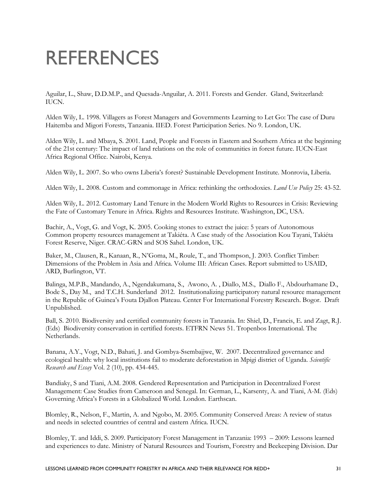## <span id="page-39-0"></span>REFERENCES

Aguilar, L., Shaw, D.D.M.P., and Quesada-Anguilar, A. 2011. Forests and Gender. Gland, Switzerland: IUCN.

Alden Wily, L. 1998. Villagers as Forest Managers and Governments Learning to Let Go: The case of Duru Haitemba and Migori Forests, Tanzania. IIED. Forest Participation Series. No 9. London, UK.

Alden Wily, L. and Mbaya, S. 2001. Land, People and Forests in Eastern and Southern Africa at the beginning of the 21st century: The impact of land relations on the role of communities in forest future. IUCN-East Africa Regional Office. Nairobi, Kenya.

Alden Wily, L. 2007. So who owns Liberia's forest? Sustainable Development Institute. Monrovia, Liberia.

Alden Wily, L. 2008. Custom and commonage in Africa: rethinking the orthodoxies. *Land Use Policy* 25: 43-52.

Alden Wily, L. 2012. Customary Land Tenure in the Modern World Rights to Resources in Crisis: Reviewing the Fate of Customary Tenure in Africa. Rights and Resources Institute. Washington, DC, USA.

Bachir, A., Vogt, G. and Vogt, K. 2005. Cooking stones to extract the juice: 5 years of Autonomous Common property resources management at Takiéta. A Case study of the Association Kou Tayani, Takiéta Forest Reserve, Niger. CRAC-GRN and SOS Sahel. London, UK.

Baker, M., Clausen, R., Kanaan, R., N'Goma, M., Roule, T., and Thompson, J. 2003. Conflict Timber: Dimensions of the Problem in Asia and Africa. Volume III: African Cases. Report submitted to USAID, ARD, Burlington, VT.

Balinga, M.P.B., Mandando, A., Ngendakumana, S., Awono, A. , Diallo, M.S., Diallo F., Abdourhamane D., Bode S., Day M., and T.C.H. Sunderland 2012. Institutionalizing participatory natural resource management in the Republic of Guinea's Fouta Djallon Plateau. Center For International Forestry Research. Bogor. Draft Unpublished.

Ball, S. 2010. Biodiversity and certified community forests in Tanzania. In: Shiel, D., Francis, E. and Zagt, R.J. (Eds) Biodiversity conservation in certified forests. ETFRN News 51. Tropenbos International. The Netherlands.

Banana, A.Y., Vogt, N.D., Bahati, J. and Gombya-Ssembajjwe, W. 2007. Decentralized governance and ecological health: why local institutions fail to moderate deforestation in Mpigi district of Uganda. *Scientific Research and Essay* Vol. 2 (10), pp. 434-445.

Bandiaky, S and Tiani, A.M. 2008. Gendered Representation and Participation in Decentralized Forest Management: Case Studies from Cameroon and Senegal. In: German, L., Karsenty, A. and Tiani, A-M. (Eds) Governing Africa's Forests in a Globalized World. London. Earthscan.

Blomley, R., Nelson, F., Martin, A. and Ngobo, M. 2005. Community Conserved Areas: A review of status and needs in selected countries of central and eastern Africa. IUCN.

Blomley, T. and Iddi, S. 2009. Participatory Forest Management in Tanzania: 1993 – 2009: Lessons learned and experiences to date. Ministry of Natural Resources and Tourism, Forestry and Beekeeping Division. Dar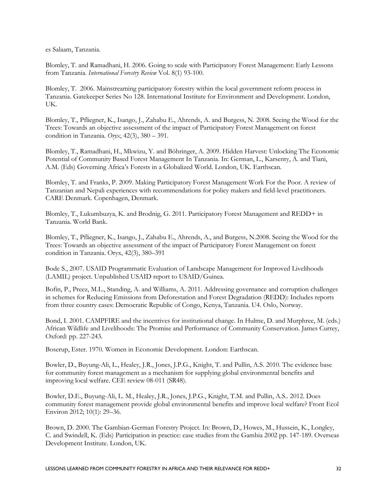es Salaam, Tanzania.

Blomley, T. and Ramadhani, H. 2006. Going to scale with Participatory Forest Management: Early Lessons from Tanzania. *International Forestry Review* Vol. 8(1) 93-100.

Blomley, T. 2006. Mainstreaming participatory forestry within the local government reform process in Tanzania. Gatekeeper Series No 128. International Institute for Environment and Development. London, UK.

Blomley, T., Pfliegner, K., Isango, J., Zahabu E., Ahrends, A. and Burgess, N. 2008. Seeing the Wood for the Trees: Towards an objective assessment of the impact of Participatory Forest Management on forest condition in Tanzania. *Oryx*, 42(3), 380 – 391.

Blomley, T., Ramadhani, H., Mkwizu, Y. and Böhringer, A. 2009. Hidden Harvest: Unlocking The Economic Potential of Community Based Forest Management In Tanzania. In: German, L., Karsenty, A. and Tiani, A.M. (Eds) Governing Africa's Forests in a Globalized World. London, UK. Earthscan.

Blomley, T. and Franks, P. 2009. Making Participatory Forest Management Work For the Poor. A review of Tanzanian and Nepali experiences with recommendations for policy makers and field-level practitioners. CARE Denmark. Copenhagen, Denmark.

Blomley, T., Lukumbuzya, K. and Brodnig, G. 2011. Participatory Forest Management and REDD+ in Tanzania. World Bank.

Blomley, T., Pfliegner, K., Isango, J., Zahabu E., Ahrends, A., and Burgess, N.2008. Seeing the Wood for the Trees: Towards an objective assessment of the impact of Participatory Forest Management on forest condition in Tanzania. Oryx, 42(3), 380–391

Bode S., 2007. USAID Programmatic Evaluation of Landscape Management for Improved Livelihoods (LAMIL) project. Unpublished USAID report to USAID/Guinea.

Bofin, P., Preez, M.L., Standing, A. and Williams, A. 2011. Addressing governance and corruption challenges in schemes for Reducing Emissions from Deforestation and Forest Degradation (REDD): Includes reports from three country cases: Democratic Republic of Congo, Kenya, Tanzania. U4. Oslo, Norway.

Bond, I. 2001. CAMPFIRE and the incentives for institutional change. In Hulme, D. and Murphree, M. (eds.) African Wildlife and Livelihoods: The Promise and Performance of Community Conservation. James Currey, Oxford: pp. 227-243.

Boserup, Ester. 1970. Women in Economic Development. London: Earthscan.

Bowler, D., Buyung-Ali, L., Healey, J.R., Jones, J.P.G., Knight, T. and Pullin, A.S. 2010. The evidence base for community forest management as a mechanism for supplying global environmental benefits and improving local welfare. CEE review 08-011 (SR48).

Bowler, D.E., Buyung-Ali, L. M., Healey, J.R., Jones, J.P.G., Knight, T.M. and Pullin, A.S.. 2012. Does community forest management provide global environmental benefits and improve local welfare? Front Ecol Environ 2012; 10(1): 29–36.

Brown, D. 2000. The Gambian-German Forestry Project. In: [Brown, D.,](http://www.cabdirect.org/search.html?q=ed%3A%22Brown%2C+D.%22) [Howes, M.,](http://www.cabdirect.org/search.html?q=ed%3A%22Howes%2C+M.%22) [Hussein, K.,](http://www.cabdirect.org/search.html?q=ed%3A%22Hussein%2C+K.%22) [Longley,](http://www.cabdirect.org/search.html?q=ed%3A%22Longley%2C+C.%22)  C. [and](http://www.cabdirect.org/search.html?q=ed%3A%22Longley%2C+C.%22) [Swindell, K.](http://www.cabdirect.org/search.html?q=ed%3A%22Swindell%2C+K.%22) (Eds) [Participation in practice: case studies from the Gambia](http://www.cabdirect.org/search.html?q=do%3A%22Participation+in+practice%3A+case+studies+from+the+Gambia%22) 2002 pp. 147-189. Overseas Development Institute. London, UK.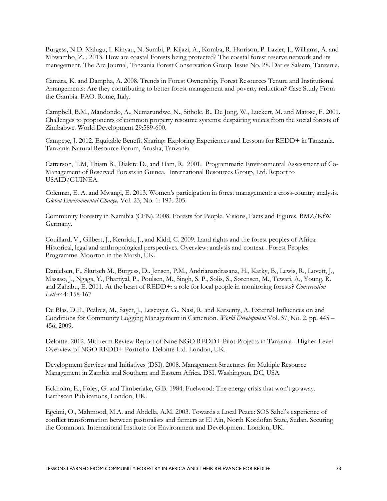Burgess, N.D. Malugu, I. Kinyau, N. Sumbi, P. Kijazi, A., Komba, R. Harrison, P. Lazier, J., Williams, A. and Mbwambo, Z. . 2013. How are coastal Forests being protected? The coastal forest reserve network and its management. The Arc Journal, Tanzania Forest Conservation Group. Issue No. 28. Dar es Salaam, Tanzania.

Camara, K. and Dampha, A. 2008. Trends in Forest Ownership, Forest Resources Tenure and Institutional Arrangements: Are they contributing to better forest management and poverty reduction? Case Study From the Gambia. FAO. Rome, Italy.

Campbell, B.M., Mandondo, A., Nemarundwe, N., Sithole, B., De Jong, W., Luckert, M. and Matose, F. 2001. Challenges to proponents of common property resource systems: despairing voices from the social forests of Zimbabwe. World Development 29:589-600.

Campese, J. 2012. Equitable Benefit Sharing: Exploring Experiences and Lessons for REDD+ in Tanzania. Tanzania Natural Resource Forum, Arusha, Tanzania.

Catterson, T.M, Thiam B., Diakite D., and Ham, R. 2001. Programmatic Environmental Assessment of Co-Management of Reserved Forests in Guinea. International Resources Group, Ltd. Report to USAID/GUINEA.

Coleman, E. A. and Mwangi, E. 2013. Women's participation in forest management: a cross-country analysis. *Global Environmental Change,* Vol. 23, No. 1: 193.-205.

Community Forestry in Namibia (CFN). 2008. Forests for People. Visions, Facts and Figures. BMZ/KfW Germany.

Couillard, V., Gilbert, J., Kenrick, J., and Kidd, C. 2009. Land rights and the forest peoples of Africa: Historical, legal and anthropological perspectives. Overview: analysis and context . Forest Peoples Programme. Moorton in the Marsh, UK.

Danielsen, F., Skutsch M., Burgess, D.. Jensen, P.M., Andrianandrasana, H., Karky, B., Lewis, R., Lovett, J., Massao, J., Ngaga, Y., Phartiyal, P., Poulsen, M., Singh, S. P., Solis, S., Sørensen, M., Tewari, A., Young, R. and Zahabu, E. 2011. At the heart of REDD+: a role for local people in monitoring forests? *Conservation Letters* 4: 158-167

De Blas, D.E., Peålrez, M., Sayer, J., Lescuyer, G., Nasi, R. and Karsenty, A. External Influences on and Conditions for Community Logging Management in Cameroon. *World Development* Vol. 37, No. 2, pp. 445 – 456, 2009.

Deloitte. 2012. Mid-term Review Report of Nine NGO REDD+ Pilot Projects in Tanzania - Higher-Level Overview of NGO REDD+ Portfolio. Deloitte Ltd. London, UK.

Development Services and Initiatives (DSI). 2008. Management Structures for Multiple Resource Management in Zambia and Southern and Eastern Africa. DSI. Washington, DC, USA.

Eckholm, E., Foley, G. and Timberlake, G.B. 1984. Fuelwood: The energy crisis that won't go away. Earthscan Publications, London, UK.

Egeimi, O., Mahmood, M.A. and Abdella, A.M. 2003. Towards a Local Peace: SOS Sahel's experience of conflict transformation between pastoralists and farmers at El Ain, North Kordofan State, Sudan. Securing the Commons. International Institute for Environment and Development. London, UK.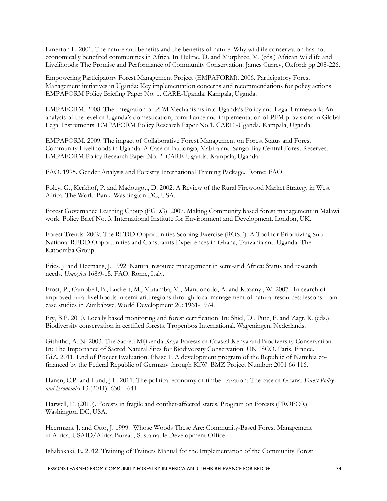Emerton L. 2001. The nature and benefits and the benefits of nature: Why wildlife conservation has not economically benefited communities in Africa. In Hulme, D. and Murphree, M. (eds.) African Wildlife and Livelihoods: The Promise and Performance of Community Conservation. James Currey, Oxford: pp.208-226.

Empowering Participatory Forest Management Project (EMPAFORM). 2006. Participatory Forest Management initiatives in Uganda: Key implementation concerns and recommendations for policy actions EMPAFORM Policy Briefing Paper No. 1. CARE-Uganda. Kampala, Uganda.

EMPAFORM. 2008. The Integration of PFM Mechanisms into Uganda's Policy and Legal Framework: An analysis of the level of Uganda's domestication, compliance and implementation of PFM provisions in Global Legal Instruments. EMPAFORM Policy Research Paper No.1. CARE -Uganda. Kampala, Uganda

EMPAFORM. 2009. The impact of Collaborative Forest Management on Forest Status and Forest Community Livelihoods in Uganda: A Case of Budongo, Mabira and Sango-Bay Central Forest Reserves. EMPAFORM Policy Research Paper No. 2. CARE-Uganda. Kampala, Uganda

FAO. 1995. Gender Analysis and Forestry International Training Package. Rome: FAO.

Foley, G., Kerkhof, P. and Madougou, D. 2002. A Review of the Rural Firewood Market Strategy in West Africa. The World Bank. Washington DC, USA.

Forest Governance Learning Group (FGLG). 2007. Making Community based forest management in Malawi work. Policy Brief No. 3. International Institute for Environment and Development. London, UK.

Forest Trends. 2009. The REDD Opportunities Scoping Exercise (ROSE): A Tool for Prioritizing Sub-National REDD Opportunities and Constraints Experiences in Ghana, Tanzania and Uganda. The Katoomba Group.

Fries, J. and Heemans, J. 1992. Natural resource management in semi-arid Africa: Status and research needs. *Unasylva* 168:9-15. FAO. Rome, Italy.

Frost, P., Campbell, B., Luckert, M., Mutamba, M., Mandonodo, A. and Kozanyi, W. 2007. In search of improved rural livelihoods in semi-arid regions through local management of natural resources: lessons from case studies in Zimbabwe. World Development 20: 1961-1974.

Fry, B.P. 2010. Locally based monitoring and forest certification. In: Shiel, D., Putz, F. and Zagt, R. (eds.). Biodiversity conservation in certified forests. Tropenbos International. Wageningen, Nederlands.

Githitho, A. N. 2003. The Sacred Mijikenda Kaya Forests of Coastal Kenya and Biodiversity Conservation. In: The Importance of Sacred Natural Sites for Biodiversity Conservation. UNESCO. Paris, France. GiZ. 2011. End of Project Evaluation. Phase 1. A development program of the Republic of Namibia cofinanced by the Federal Republic of Germany through KfW. BMZ Project Number: 2001 66 116.

Hansn, C.P. and Lund, J.F. 2011. The political economy of timber taxation: The case of Ghana. *Forest Policy and Economics* 13 (2011): 630 – 641

Harwell, E. (2010). Forests in fragile and conflict-affected states*.* Program on Forests (PROFOR). Washington DC, USA.

Heermans, J. and Otto, J. 1999. Whose Woods These Are: Community-Based Forest Management in Africa. USAID/Africa Bureau, Sustainable Development Office.

Ishabakaki, E. 2012. Training of Trainers Manual for the Implementation of the Community Forest

LESSONS LEARNED FROM COMMUNITY FORESTRY IN AFRICA AND THEIR RELEVANCE FOR REDD+ 34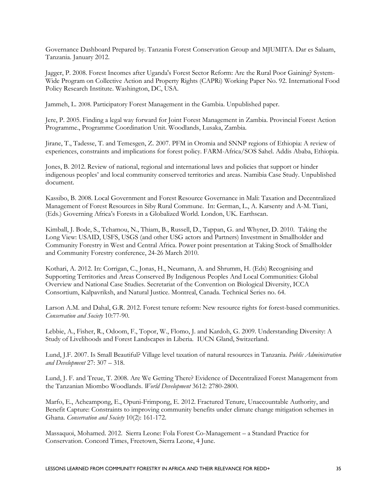Governance Dashboard Prepared by. Tanzania Forest Conservation Group and MJUMITA. Dar es Salaam, Tanzania. January 2012.

Jagger, P. 2008. Forest Incomes after Uganda's Forest Sector Reform: Are the Rural Poor Gaining? System-Wide Program on Collective Action and Property Rights (CAPRi) Working Paper No. 92. International Food Policy Research Institute. Washington, DC, USA.

Jammeh, L. 2008. Participatory Forest Management in the Gambia. Unpublished paper.

Jere, P. 2005. Finding a legal way forward for Joint Forest Management in Zambia. Provincial Forest Action Programme., Programme Coordination Unit. Woodlands, Lusaka, Zambia.

Jirane, T., Tadesse, T. and Temesgen, Z. 2007. PFM in Oromia and SNNP regions of Ethiopia: A review of experiences, constraints and implications for forest policy. FARM-Africa/SOS Sahel. Addis Ababa, Ethiopia.

Jones, B. 2012. Review of national, regional and international laws and policies that support or hinder indigenous peoples' and local community conserved territories and areas. Namibia Case Study. Unpublished document.

Kassibo, B. 2008. Local Government and Forest Resource Governance in Mali: Taxation and Decentralized Management of Forest Resources in Siby Rural Commune. In: German, L., A. Karsenty and A-M. Tiani, (Eds.) Governing Africa's Forests in a Globalized World. London, UK. Earthscan.

Kimball, J. Bode, S., Tchamou, N., Thiam, B., Russell, D., Tappan, G. and Whyner, D. 2010. Taking the Long View: USAID, USFS, USGS (and other USG actors and Partners) Investment in Smallholder and Community Forestry in West and Central Africa. Power point presentation at Taking Stock of Smallholder and Community Forestry conference, 24-26 March 2010.

Kothari, A. 2012. In: Corrigan, C., Jonas, H., Neumann, A. and Shrumm, H. (Eds) Recognising and Supporting Territories and Areas Conserved By Indigenous Peoples And Local Communities: Global Overview and National Case Studies. Secretariat of the Convention on Biological Diversity, ICCA Consortium, Kalpavriksh, and Natural Justice. Montreal, Canada. Technical Series no. 64.

Larson A.M. and Dahal, G.R. 2012. Forest tenure reform: New resource rights for forest-based communities. *Conservation and Society* 10:77-90.

Lebbie, A., Fisher, R., Odoom, F., Topor, W., Flomo, J. and Kardoh, G. 2009. Understanding Diversity: A Study of Livelihoods and Forest Landscapes in Liberia. IUCN Gland, Switzerland.

Lund, J.F. 2007. Is Small Beautiful? Village level taxation of natural resources in Tanzania. *Public Administration and Development* 27: 307 – 318.

Lund, J. F. and Treue, T. 2008. Are We Getting There? Evidence of Decentralized Forest Management from the Tanzanian Miombo Woodlands. *World Development* 3612: 2780-2800.

Marfo, E., Acheampong, E., Opuni-Frimpong, E. 2012. Fractured Tenure, Unaccountable Authority, and Benefit Capture: Constraints to improving community benefits under climate change mitigation schemes in Ghana. *Conservation and Society* 10(2): 161-172.

Massaquoi, Mohamed. 2012. Sierra Leone: Fola Forest Co-Management – a Standard Practice for Conservation. Concord Times, Freetown, Sierra Leone, 4 June.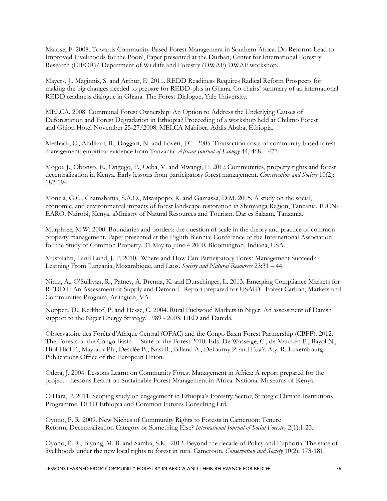Matose, F. 2008. Towards Community-Based Forest Management in Southern Africa: Do Reforms Lead to Improved Livelihoods for the Poor?, Paper presented at the Durban, Center for International Forestry Research (CIFOR)/ Department of Wildlife and Forestry (DWAF) DWAF workshop.

Mayers, J., Maginnis, S. and Arthur, E. 2011. REDD Readiness Requires Radical Reform Prospects for making the big changes needed to prepare for REDD-plus in Ghana. Co-chairs' summary of an international REDD readiness dialogue in Ghana. The Forest Dialogue, Yale University.

MELCA. 2008. Communal Forest Ownership: An Option to Address the Underlying Causes of Deforestation and Forest Degradation in Ethiopia? Proceeding of a workshop held at Chilimo Forest and Ghion Hotel November 25-27/2008. MELCA Mahiber, Addis Ababa, Ethiopia.

Meshack, C., Ahdikari, B., Doggart, N. and Lovett, J.C. 2005. Transaction costs of community-based forest management: empirical evidence from Tanzania. *African Journal of Ecology* 44, 468 – 477.

Mogoi, J., Obonyo, E., Ongugo, P., Oeba, V. and Mwangi, E. 2012 Communities, property rights and forest decentralization in Kenya. Early lessons from participatory forest management. *Conservation and Society* 10(2): 182-194.

Monela, G.C., Chamshama, S.A.O., Mwaipopo, R. and Gamassa, D.M. 2005. A study on the social, economic, and environmental impacts of forest landscape restoration in Shinyanga Region, Tanzania. IUCN-EARO. Nairobi, Kenya. aMinistry of Natural Resources and Tourism. Dar es Salaam, Tanzania.

Murphree, M.W. 2000. Boundaries and borders: the question of scale in the theory and practice of common property management. Paper presented at the Eighth Biennial Conference of the International Association for the Study of Common Property. 31 May to June 4 2000. Bloomington, Indiana, USA.

Mustalahti, I and Lund, J. F. 2010. Where and How Can Participatory Forest Management Succeed? Learning From Tanzania, Mozambique, and Laos. *Society and Natural Resources* 23:31 – 44.

Nimz, A., O'Sullivan, R., Patney, A. Brenna, K. and Durschinger, L. 2013. Emerging Compliance Markets for REDD+: An Assessment of Supply and Demand. Report prepared for USAID. Forest Carbon, Markets and Communities Program, Arlington, VA.

Noppen, D., Kerkhof, P. and Hesse, C. 2004. Rural Fuelwood Markets in Niger: An assessment of Danish support to the Niger Energy Strategy. 1989 - 2003. IIED and Danida.

Observatoire des Forêts d'Afrique Central (OFAC) and the Congo Basin Forest Partnership (CBFP). 2012. The Forests of the Congo Basin – State of the Forest 2010. Eds. De Wasseige, C., de Marcken P., Bayol N., Hiol Hiol F., Mayraux Ph., Desclée B., Nasi R., Billand A., Defourny P. and Eda'a Atyi R. Luxembourg. Publications Office of the European Union.

Odera, J. 2004. Lessons Learnt on Community Forest Management in Africa: A report prepared for the project - Lessons Learnt on Sustainable Forest Management in Africa. National Museums of Kenya.

O'Hara, P. 2011. Scoping study on engagement in Ethiopia's Forestry Sector, Strategic Climate Institutions Programme. DFID Ethiopia and Common Futures Consulting Ltd.

Oyono, P. R. 2009. New Niches of Community Rights to Forests in Cameroon: Tenure Reform, Decentralization Category or Something Else? *International Journal of Social Forestry* 2(1):1-23.

Oyono, P. R., Biyong, M. B. and Samba, S.K. 2012. Beyond the decade of Policy and Euphoria: The state of livelihoods under the new local rights to forest in rural Cameroon. *Conservation and Society* 10(2): 173-181.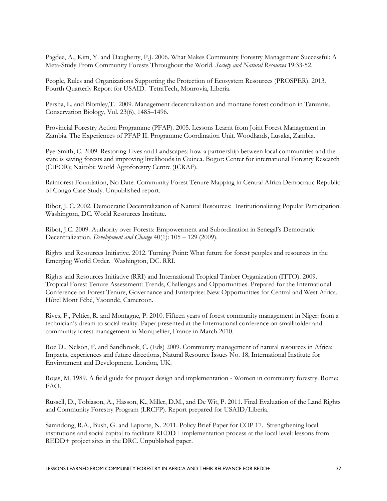Pagdee, A., Kim, Y. and Daugherty, P.J. 2006. What Makes Community Forestry Management Successful: A Meta-Study From Community Forests Throughout the World. *Society and Natural Resources* 19:33-52.

People, Rules and Organizations Supporting the Protection of Ecosystem Resources (PROSPER). 2013. Fourth Quarterly Report for USAID. TetraTech, Monrovia, Liberia.

Persha, L. and Blomley,T. 2009. Management decentralization and montane forest condition in Tanzania. Conservation Biology, Vol. 23(6), 1485–1496.

Provincial Forestry Action Programme (PFAP). 2005. Lessons Learnt from Joint Forest Management in Zambia. The Experiences of PFAP II. Programme Coordination Unit. Woodlands, Lusaka, Zambia.

Pye-Smith, C. 2009. Restoring Lives and Landscapes: how a partnership between local communities and the state is saving forests and improving livelihoods in Guinea. Bogor: Center for international Forestry Research (CIFOR); Nairobi: World Agroforestry Centre (ICRAF).

Rainforest Foundation, No Date. Community Forest Tenure Mapping in Central Africa Democratic Republic of Congo Case Study. Unpublished report.

Ribot, J. C. 2002. Democratic Decentralization of Natural Resources: Institutionalizing Popular Participation. Washington, DC. World Resources Institute.

Ribot, J.C. 2009. Authority over Forests: Empowerment and Subordination in Senegal's Democratic Decentralization. *Development and Change* 40(1): 105 – 129 (2009).

Rights and Resources Initiative. 2012. Turning Point: What future for forest peoples and resources in the Emerging World Order. Washington, DC. RRI.

Rights and Resources Initiative (RRI) and International Tropical Timber Organization (ITTO). 2009. Tropical Forest Tenure Assessment: Trends, Challenges and Opportunities. Prepared for the International Conference on Forest Tenure, Governance and Enterprise: New Opportunities for Central and West Africa. Hôtel Mont Fébé, Yaoundé, Cameroon.

Rives, F., Peltier, R. and Montagne, P. 2010. Fifteen years of forest community management in Niger: from a technician's dream to social reality. Paper presented at the International conference on smallholder and community forest management in Montpellier, France in March 2010.

Roe D., Nelson, F. and Sandbrook, C. (Eds) 2009. Community management of natural resources in Africa: Impacts, experiences and future directions, Natural Resource Issues No. 18, International Institute for Environment and Development. London, UK.

Rojas, M. 1989. A field guide for project design and implementation - Women in community forestry. Rome: FAO.

Russell, D., Tobiason, A., Hasson, K., Miller, D.M., and De Wit, P. 2011. Final Evaluation of the Land Rights and Community Forestry Program (LRCFP). Report prepared for USAID/Liberia.

Samndong, R.A., Bush, G. and Laporte, N. 2011. Policy Brief Paper for COP 17. Strengthening local institutions and social capital to facilitate REDD+ implementation process at the local level: lessons from REDD+ project sites in the DRC. Unpublished paper.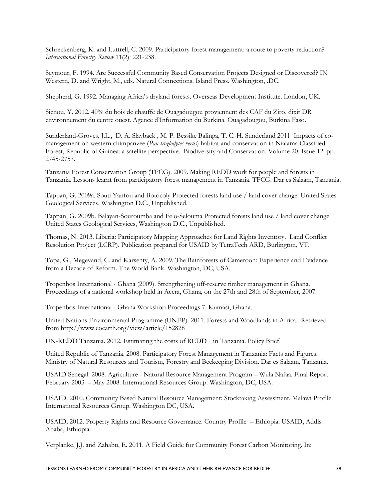Schreckenberg, K. and Luttrell, C. 2009. Participatory forest management: a route to poverty reduction? *International Forestry Review* 11(2): 221-238.

Seymour, F. 1994. Are Successful Community Based Conservation Projects Designed or Discovered? IN Western, D. and Wright, M., eds. Natural Connections. Island Press. Washington, .DC.

Shepherd, G. 1992. Managing Africa's dryland forests. Overseas Development Institute. London, UK.

Sienou, Y. 2012. 40% du bois de chauffe de Ouagadougou proviennent des CAF du Ziro, dixit DR environnement du centre ouest. Agence d'Information du Burkina. Ouagadougou, Burkina Faso.

Sunderland-Groves, J.L., D. A. Slayback , M. P. Bessike Balinga, T. C. H. Sunderland 2011 Impacts of comanagement on western chimpanzee (*Pan troglodytes verus*) habitat and conservation in Nialama Classified Forest, Republic of Guinea: a satellite perspective. Biodiversity and Conservation. Volume 20: Issue 12: pp. 2745-2757.

Tanzania Forest Conservation Group (TFCG). 2009. Making REDD work for people and forests in Tanzania. Lessons learnt from participatory forest management in Tanzania. TFCG. Dar es Salaam, Tanzania.

Tappan, G. 2009a. Souti Yanfou and Botocoly Protected forests land use / land cover change. United States Geological Services, Washington D.C., Unpublished.

Tappan, G. 2009b. Balayan-Souroumba and Felo-Selouma Protected forests land use / land cover change. United States Geological Services, Washington D.C., Unpublished.

Thomas, N. 2013. Liberia: Participatory Mapping Approaches for Land Rights Inventory. Land Conflict Resolution Project (LCRP). Publication prepared for USAID by TetraTech ARD, Burlington, VT.

Topa, G., Megevand, C. and Karsenty, A. 2009. The Rainforests of Cameroon: Experience and Evidence from a Decade of Reform. The World Bank. Washington, DC, USA.

Tropenbos International - Ghana (2009). Strengthening off-reserve timber management in Ghana. Proceedings of a national workshop held in Accra, Ghana, on the 27th and 28th of September, 2007.

Tropenbos International - Ghana Workshop Proceedings 7. Kumasi, Ghana.

United Nations Environmental Programme (UNEP). 2011. Forests and Woodlands in Africa. Retrieved from http://www.eoearth.org/view/article/152828

UN-REDD Tanzania. 2012. Estimating the costs of REDD+ in Tanzania. Policy Brief.

United Republic of Tanzania. 2008. Participatory Forest Management in Tanzania: Facts and Figures. Ministry of Natural Resources and Tourism, Forestry and Beekeeping Division. Dar es Salaam, Tanzania.

USAID Senegal. 2008. Agriculture - Natural Resource Management Program – Wula Nafaa. Final Report February 2003 – May 2008. International Resources Group. Washington, DC, USA.

USAID. 2010. Community Based Natural Resource Management: Stocktaking Assessment. Malawi Profile. International Resources Group. Washington DC, USA.

USAID, 2012. Property Rights and Resource Governance. Country Profile – Ethiopia. USAID, Addis Ababa, Ethiopia.

Verplanke, J.J. and Zahabu, E. 2011. A Field Guide for Community Forest Carbon Monitoring. In: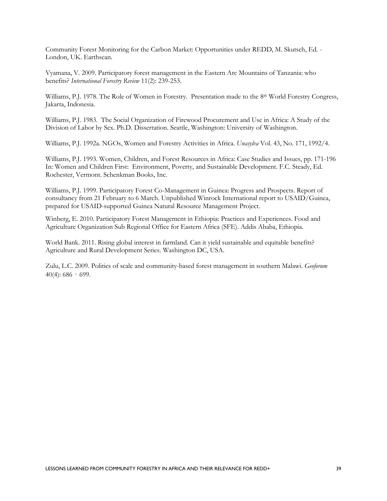Community Forest Monitoring for the Carbon Market: Opportunities under REDD, M. Skutsch, Ed. - London, UK. Earthscan.

Vyamana, V. 2009. Participatory forest management in the Eastern Arc Mountains of Tanzania: who benefits? *International Forestry Review* 11(2): 239-253.

Williams, P.J. 1978. The Role of Women in Forestry. Presentation made to the 8<sup>th</sup> World Forestry Congress, Jakarta, Indonesia.

Williams, P.J. 1983. The Social Organization of Firewood Procurement and Use in Africa: A Study of the Division of Labor by Sex. Ph.D. Dissertation. Seattle, Washington: University of Washington.

Williams, P.J. 1992a. NGOs, Women and Forestry Activities in Africa. *Unasylva* Vol. 43, No. 171, 1992/4.

Williams, P.J. 1993. Women, Children, and Forest Resources in Africa: Case Studies and Issues, pp. 171-196 In: Women and Children First: Environment, Poverty, and Sustainable Development. F.C. Steady, Ed. Rochester, Vermont. Schenkman Books, Inc.

Williams, P.J. 1999. Participatory Forest Co-Management in Guinea: Progress and Prospects. Report of consultancy from 21 February to 6 March. Unpublished Winrock International report to USAID/Guinea, prepared for USAID-supported Guinea Natural Resource Management Project.

Winberg, E. 2010. Participatory Forest Management in Ethiopia: Practices and Experiences. Food and Agriculture Organization Sub Regional Office for Eastern Africa (SFE). Addis Ababa, Ethiopia.

World Bank. 2011. Rising global interest in farmland. Can it yield sustainable and equitable benefits? Agriculture and Rural Development Series. Washington DC, USA.

Zulu, L.C. 2009. Politics of scale and community-based forest management in southern Malawi. *[Geoforum](http://www.sciencedirect.com/science/journal/00167185)* [40\(4\)](http://www.sciencedirect.com/science/journal/00167185/40/4): 686 – 699.